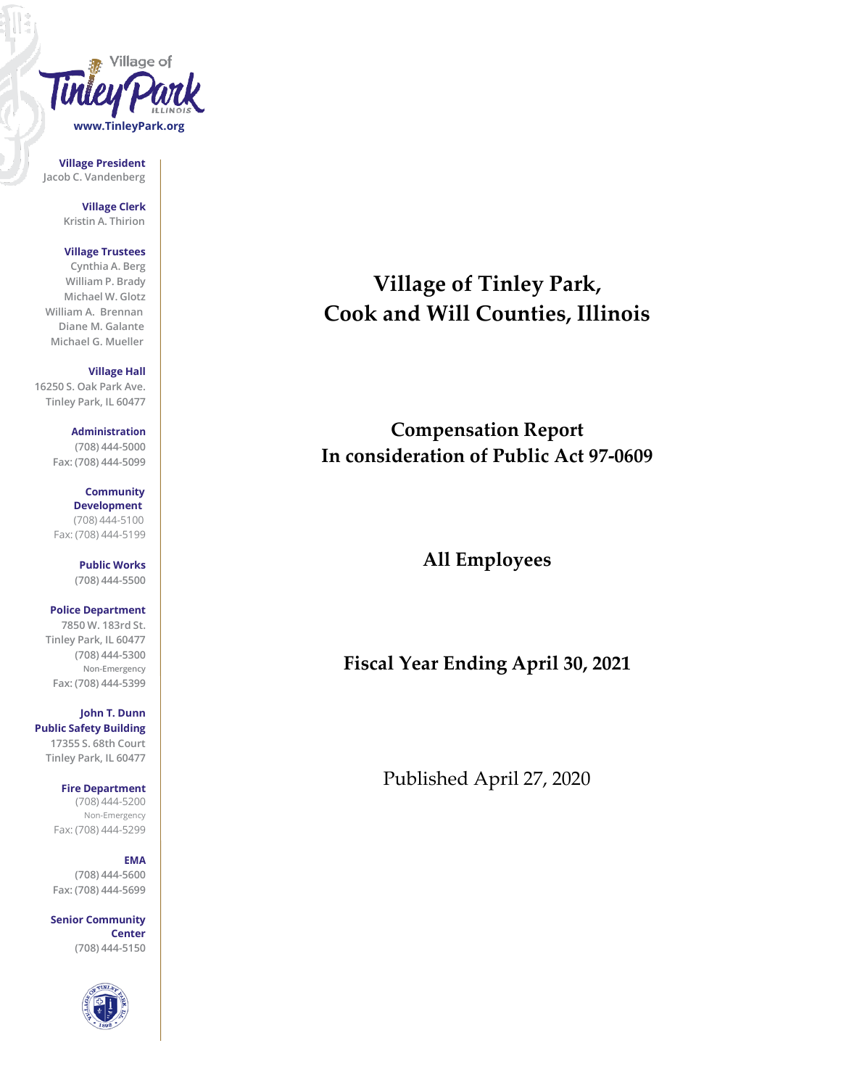

**Village President Jacob C. Vandenberg**

> **Village Clerk Kristin A. Thirion**

#### **Village Trustees**

**Cynthia A. Berg William P. Brady Michael W. Glotz William A. Brennan Diane M. Galante Michael G. Mueller**

**Village Hall**

**16250 S. Oak Park Ave. Tinley Park, IL 60477**

> **Administration (708) 444-5000 Fax: (708) 444-5099**

**Community Development** (708) 444-5100 Fax: (708) 444-5199

> **Public Works (708) 444-5500**

**Police Department 7850 W. 183rd St. Tinley Park, IL 60477 (708) 444-5300 Non-Emergency Fax: (708) 444-5399**

**John T. Dunn Public Safety Building 17355 S. 68th Court Tinley Park, IL 60477**

> **Fire Department** (708) 444-5200 Non-Emergency Fax: (708) 444-5299

#### **EMA**

**(708) 444-5600 Fax: (708) 444-5699**

**Senior Community Center (708) 444-5150**



**Village of Tinley Park, Cook and Will Counties, Illinois**

**Compensation Report In consideration of Public Act 97-0609**

**All Employees**

**Fiscal Year Ending April 30, 2021**

Published April 27, 2020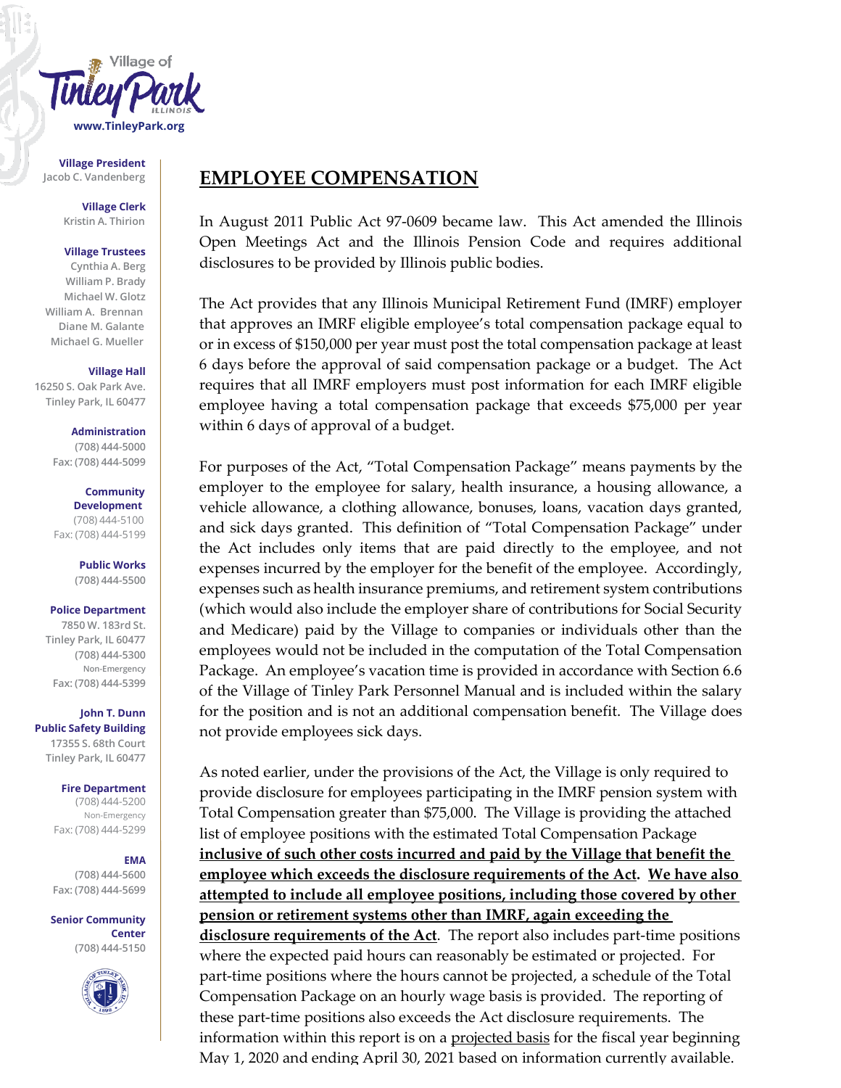

**Village President**

**Village Clerk Kristin A. Thirion**

#### **Village Trustees**

**Cynthia A. Berg William P. Brady Michael W. Glotz William A. Brennan Diane M. Galante Michael G. Mueller**

#### **Village Hall**

**16250 S. Oak Park Ave. Tinley Park, IL 60477**

> **Administration (708) 444-5000 Fax: (708) 444-5099**

#### **Community Development** (708) 444-5100 Fax: (708) 444-5199

**Public Works**

**(708) 444-5500**

#### **Police Department**

**7850 W. 183rd St. Tinley Park, IL 60477 (708) 444-5300 Non-Emergency Fax: (708) 444-5399**

**John T. Dunn Public Safety Building 17355 S. 68th Court Tinley Park, IL 60477**

#### **Fire Department**

(708) 444-5200 Non-Emergency Fax: (708) 444-5299

#### **EMA**

**(708) 444-5600 Fax: (708) 444-5699**

#### **Senior Community Center (708) 444-5150**



### Jacob C. Vandenberg **EMPLOYEE COMPENSATION**

In August 2011 Public Act 97-0609 became law. This Act amended the Illinois Open Meetings Act and the Illinois Pension Code and requires additional disclosures to be provided by Illinois public bodies.

The Act provides that any Illinois Municipal Retirement Fund (IMRF) employer that approves an IMRF eligible employee's total compensation package equal to or in excess of \$150,000 per year must post the total compensation package at least 6 days before the approval of said compensation package or a budget. The Act requires that all IMRF employers must post information for each IMRF eligible employee having a total compensation package that exceeds \$75,000 per year within 6 days of approval of a budget.

For purposes of the Act, "Total Compensation Package" means payments by the employer to the employee for salary, health insurance, a housing allowance, a vehicle allowance, a clothing allowance, bonuses, loans, vacation days granted, and sick days granted. This definition of "Total Compensation Package" under the Act includes only items that are paid directly to the employee, and not expenses incurred by the employer for the benefit of the employee. Accordingly, expenses such as health insurance premiums, and retirement system contributions (which would also include the employer share of contributions for Social Security and Medicare) paid by the Village to companies or individuals other than the employees would not be included in the computation of the Total Compensation Package. An employee's vacation time is provided in accordance with Section 6.6 of the Village of Tinley Park Personnel Manual and is included within the salary for the position and is not an additional compensation benefit. The Village does not provide employees sick days.

As noted earlier, under the provisions of the Act, the Village is only required to provide disclosure for employees participating in the IMRF pension system with Total Compensation greater than \$75,000. The Village is providing the attached list of employee positions with the estimated Total Compensation Package **inclusive of such other costs incurred and paid by the Village that benefit the employee which exceeds the disclosure requirements of the Act. We have also attempted to include all employee positions, including those covered by other pension or retirement systems other than IMRF, again exceeding the disclosure requirements of the Act**. The report also includes part-time positions where the expected paid hours can reasonably be estimated or projected. For part-time positions where the hours cannot be projected, a schedule of the Total Compensation Package on an hourly wage basis is provided. The reporting of these part-time positions also exceeds the Act disclosure requirements. The information within this report is on a <u>projected basis</u> for the fiscal year beginning May 1, 2020 and ending April 30, 2021 based on information currently available.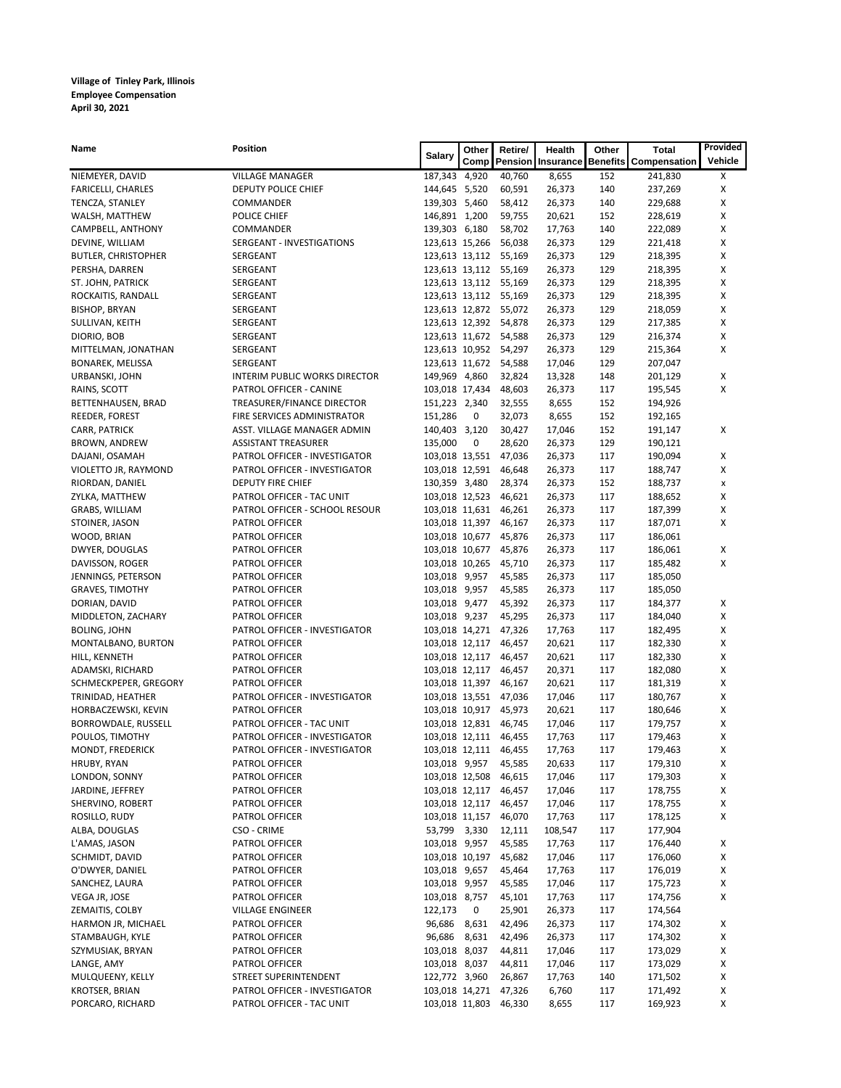| <b>Name</b>                   | <b>Position</b>                                  | <b>Salary</b>                    | Other | Retire/               | Health           | Other      | <b>Total</b>                                         | Provided |
|-------------------------------|--------------------------------------------------|----------------------------------|-------|-----------------------|------------------|------------|------------------------------------------------------|----------|
|                               |                                                  |                                  |       |                       |                  |            | Comp   Pension   Insurance   Benefits   Compensation | Vehicle  |
| NIEMEYER, DAVID               | <b>VILLAGE MANAGER</b>                           | 187,343                          | 4,920 | 40,760                | 8,655            | 152        | 241,830                                              | X        |
| <b>FARICELLI, CHARLES</b>     | DEPUTY POLICE CHIEF                              | 144,645 5,520                    |       | 60,591                | 26,373           | 140        | 237,269                                              | X        |
| TENCZA, STANLEY               | COMMANDER                                        | 139,303                          | 5,460 | 58,412                | 26,373           | 140        | 229,688                                              | Χ        |
| WALSH, MATTHEW                | POLICE CHIEF                                     | 146,891                          | 1,200 | 59,755                | 20,621           | 152        | 228,619                                              | X        |
| CAMPBELL, ANTHONY             | COMMANDER                                        | 139,303 6,180                    |       | 58,702                | 17,763           | 140        | 222,089                                              | X        |
| DEVINE, WILLIAM               | SERGEANT - INVESTIGATIONS                        | 123,613 15,266                   |       | 56,038                | 26,373           | 129        | 221,418                                              | Χ        |
| <b>BUTLER, CHRISTOPHER</b>    | SERGEANT                                         | 123,613 13,112                   |       | 55,169                | 26,373           | 129        | 218,395                                              | Χ        |
| PERSHA, DARREN                | SERGEANT                                         | 123,613 13,112                   |       | 55,169                | 26,373           | 129        | 218,395                                              | X        |
| ST. JOHN, PATRICK             | SERGEANT                                         | 123,613 13,112                   |       | 55,169                | 26,373           | 129        | 218,395                                              | Χ        |
| ROCKAITIS, RANDALL            | SERGEANT                                         | 123,613 13,112                   |       | 55,169                | 26,373           | 129        | 218,395                                              | X        |
| <b>BISHOP, BRYAN</b>          | SERGEANT                                         | 123,613 12,872                   |       | 55,072                | 26,373           | 129        | 218,059                                              | Χ        |
| SULLIVAN, KEITH               | SERGEANT                                         | 123,613 12,392                   |       | 54,878                | 26,373           | 129        | 217,385                                              | Χ        |
| DIORIO, BOB                   | SERGEANT                                         | 123,613 11,672                   |       | 54,588                | 26,373           | 129        | 216,374                                              | X        |
| MITTELMAN, JONATHAN           | SERGEANT                                         | 123,613 10,952                   |       | 54,297                | 26,373           | 129        | 215,364                                              | Χ        |
| <b>BONAREK, MELISSA</b>       | SERGEANT                                         | 123,613 11,672                   |       | 54,588                | 17,046           | 129        | 207,047                                              |          |
| URBANSKI, JOHN                | <b>INTERIM PUBLIC WORKS DIRECTOR</b>             | 149,969 4,860                    |       | 32,824                | 13,328           | 148        | 201,129                                              | X        |
| RAINS, SCOTT                  | PATROL OFFICER - CANINE                          | 103,018 17,434                   |       | 48,603                | 26,373           | 117        | 195,545                                              | X        |
| BETTENHAUSEN, BRAD            | TREASURER/FINANCE DIRECTOR                       | 151,223 2,340                    |       | 32,555                | 8,655            | 152        | 194,926                                              |          |
| REEDER, FOREST                | FIRE SERVICES ADMINISTRATOR                      | 151,286                          | 0     | 32,073                | 8,655            | 152        | 192,165                                              |          |
| CARR, PATRICK                 | ASST. VILLAGE MANAGER ADMIN                      | 140,403 3,120                    |       | 30,427                | 17,046           | 152        | 191,147                                              | X        |
| <b>BROWN, ANDREW</b>          | <b>ASSISTANT TREASURER</b>                       | 135,000                          | 0     | 28,620                | 26,373           | 129        | 190,121                                              |          |
| DAJANI, OSAMAH                | PATROL OFFICER - INVESTIGATOR                    | 103,018 13,551                   |       | 47,036                | 26,373           | 117        | 190,094                                              | X        |
| VIOLETTO JR, RAYMOND          | PATROL OFFICER - INVESTIGATOR                    | 103,018 12,591                   |       | 46,648                | 26,373           | 117        | 188,747                                              | Χ        |
| RIORDAN, DANIEL               | <b>DEPUTY FIRE CHIEF</b>                         | 130,359 3,480                    |       | 28,374                | 26,373           | 152        | 188,737                                              | X        |
| ZYLKA, MATTHEW                | PATROL OFFICER - TAC UNIT                        | 103,018 12,523                   |       | 46,621                | 26,373           | 117        | 188,652                                              | Χ        |
| GRABS, WILLIAM                | PATROL OFFICER - SCHOOL RESOUR<br>PATROL OFFICER | 103,018 11,631                   |       | 46,261                | 26,373           | 117<br>117 | 187,399                                              | X<br>Χ   |
| STOINER, JASON<br>WOOD, BRIAN | PATROL OFFICER                                   | 103,018 11,397<br>103,018 10,677 |       | 46,167<br>45,876      | 26,373<br>26,373 | 117        | 187,071<br>186,061                                   |          |
| DWYER, DOUGLAS                | PATROL OFFICER                                   | 103,018 10,677                   |       | 45,876                | 26,373           | 117        | 186,061                                              | X        |
| DAVISSON, ROGER               | PATROL OFFICER                                   | 103,018 10,265                   |       | 45,710                | 26,373           | 117        | 185,482                                              | X        |
| JENNINGS, PETERSON            | PATROL OFFICER                                   | 103,018 9,957                    |       | 45,585                | 26,373           | 117        | 185,050                                              |          |
| <b>GRAVES, TIMOTHY</b>        | PATROL OFFICER                                   | 103,018 9,957                    |       | 45,585                | 26,373           | 117        | 185,050                                              |          |
| DORIAN, DAVID                 | PATROL OFFICER                                   | 103,018 9,477                    |       | 45,392                | 26,373           | 117        | 184,377                                              | X        |
| MIDDLETON, ZACHARY            | PATROL OFFICER                                   | 103,018 9,237                    |       | 45,295                | 26,373           | 117        | 184,040                                              | X        |
| <b>BOLING, JOHN</b>           | PATROL OFFICER - INVESTIGATOR                    | 103,018 14,271                   |       | 47,326                | 17,763           | 117        | 182,495                                              | χ        |
| MONTALBANO, BURTON            | PATROL OFFICER                                   | 103,018 12,117                   |       | 46,457                | 20,621           | 117        | 182,330                                              | X        |
| HILL, KENNETH                 | PATROL OFFICER                                   | 103,018 12,117                   |       | 46,457                | 20,621           | 117        | 182,330                                              | X        |
| ADAMSKI, RICHARD              | PATROL OFFICER                                   | 103,018 12,117                   |       | 46,457                | 20,371           | 117        | 182,080                                              | X        |
| SCHMECKPEPER, GREGORY         | PATROL OFFICER                                   | 103,018 11,397                   |       | 46,167                | 20,621           | 117        | 181,319                                              | X        |
| TRINIDAD, HEATHER             | PATROL OFFICER - INVESTIGATOR                    | 103,018 13,551                   |       | 47,036                | 17,046           | 117        | 180,767                                              | Χ        |
| HORBACZEWSKI, KEVIN           | PATROL OFFICER                                   | 103,018 10,917                   |       | 45,973                | 20,621           | 117        | 180,646                                              | X        |
| BORROWDALE, RUSSELL           | PATROL OFFICER - TAC UNIT                        | 103,018 12,831                   |       | 46,745                | 17,046           | 117        | 179,757                                              | X        |
| POULOS, TIMOTHY               | PATROL OFFICER - INVESTIGATOR                    | 103,018 12,111                   |       | 46,455                | 17,763           | 117        | 179,463                                              | X        |
| MONDT, FREDERICK              | PATROL OFFICER - INVESTIGATOR                    | 103,018 12,111                   |       | 46,455                | 17,763           | 117        | 179,463                                              | X        |
| HRUBY, RYAN                   | PATROL OFFICER                                   | 103,018 9,957                    |       | 45,585                | 20,633           | 117        | 179,310                                              | Χ        |
| LONDON, SONNY                 | PATROL OFFICER                                   | 103,018 12,508                   |       | 46,615                | 17,046           | 117        | 179,303                                              | X        |
| JARDINE, JEFFREY              | PATROL OFFICER                                   | 103,018 12,117                   |       | 46,457                | 17,046           | 117        | 178,755                                              | X        |
| SHERVINO, ROBERT              | PATROL OFFICER                                   | 103,018 12,117                   |       | 46,457                | 17,046           | 117        | 178,755                                              | X        |
| ROSILLO, RUDY                 | PATROL OFFICER                                   | 103,018 11,157                   |       | 46,070                | 17,763           | 117        | 178,125                                              | X        |
| ALBA, DOUGLAS                 | CSO - CRIME                                      | 53,799                           | 3,330 | 12,111                | 108,547          | 117        | 177,904                                              |          |
| L'AMAS, JASON                 | PATROL OFFICER                                   | 103,018 9,957                    |       | 45,585                | 17,763           | 117        | 176,440                                              | X        |
| SCHMIDT, DAVID                | PATROL OFFICER                                   | 103,018 10,197                   |       | 45,682                | 17,046           | 117        | 176,060                                              | X        |
| O'DWYER, DANIEL               | PATROL OFFICER                                   | 103,018 9,657                    |       | 45,464                | 17,763           | 117        | 176,019                                              | X        |
| SANCHEZ, LAURA                | PATROL OFFICER                                   | 103,018 9,957                    |       | 45,585                | 17,046           | 117        | 175,723                                              | X        |
| VEGA JR, JOSE                 | PATROL OFFICER                                   | 103,018 8,757                    |       | 45,101                | 17,763           | 117        | 174,756                                              | X        |
| ZEMAITIS, COLBY               | <b>VILLAGE ENGINEER</b>                          | 122,173                          | 0     | 25,901                | 26,373           | 117        | 174,564                                              |          |
| HARMON JR, MICHAEL            | PATROL OFFICER                                   | 96,686                           | 8,631 | 42,496                | 26,373           | 117        | 174,302                                              | X        |
| STAMBAUGH, KYLE               | PATROL OFFICER                                   | 96,686                           | 8,631 | 42,496                | 26,373           | 117        | 174,302                                              | X        |
| SZYMUSIAK, BRYAN              | PATROL OFFICER                                   | 103,018                          | 8,037 | 44,811                | 17,046           | 117        | 173,029                                              | X        |
| LANGE, AMY                    | PATROL OFFICER                                   | 103,018 8,037                    |       | 44,811                | 17,046           | 117        | 173,029                                              | X        |
| MULQUEENY, KELLY              | STREET SUPERINTENDENT                            | 122,772 3,960                    |       | 26,867                | 17,763           | 140        | 171,502                                              | х        |
| <b>KROTSER, BRIAN</b>         | PATROL OFFICER - INVESTIGATOR                    |                                  |       | 103,018 14,271 47,326 | 6,760            | 117        | 171,492                                              | X        |
| PORCARO, RICHARD              | PATROL OFFICER - TAC UNIT                        |                                  |       | 103,018 11,803 46,330 | 8,655            | 117        | 169,923                                              | Χ        |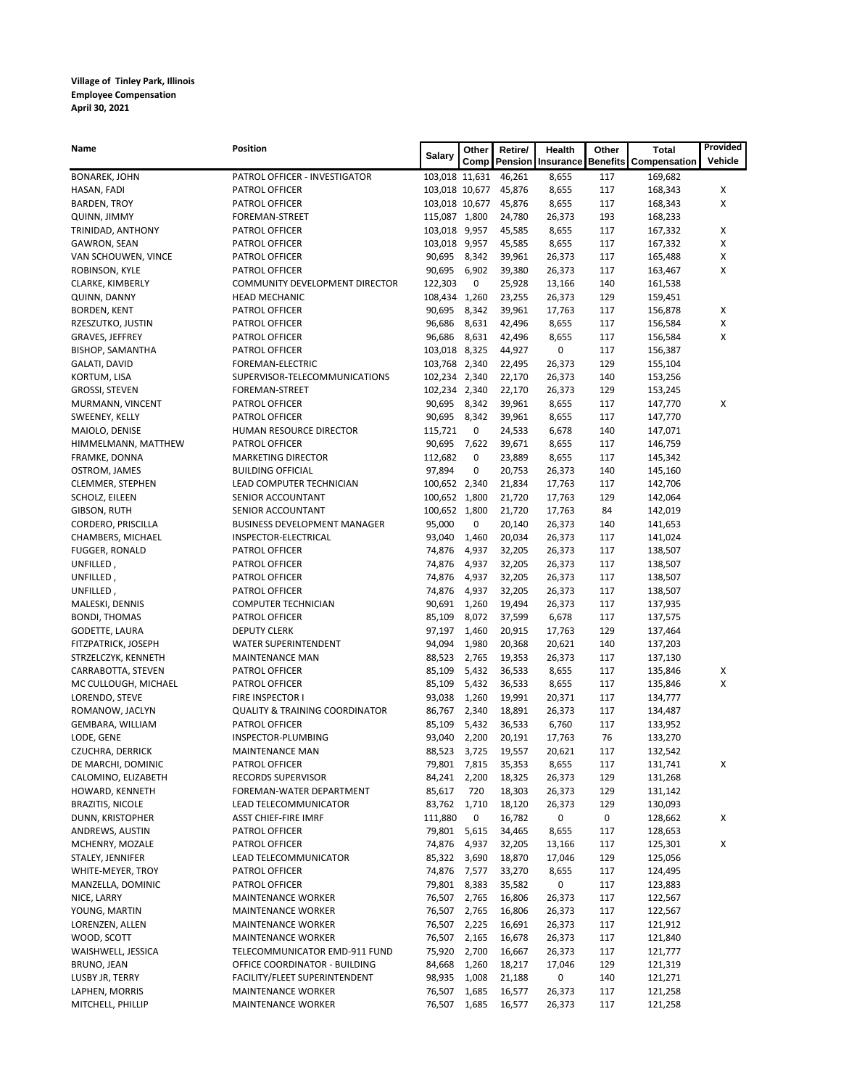| <b>Name</b>                       | <b>Position</b>                                               | <b>Salary</b>    | Other          | Retire/             | <b>Health</b>                       | Other           | <b>Total</b>       | Provided           |
|-----------------------------------|---------------------------------------------------------------|------------------|----------------|---------------------|-------------------------------------|-----------------|--------------------|--------------------|
|                                   |                                                               |                  |                |                     | <b>Comp   Pension   Insurance  </b> | <b>Benefits</b> | Compensation       | Vehicle            |
| <b>BONAREK, JOHN</b>              | PATROL OFFICER - INVESTIGATOR                                 | 103,018 11,631   |                | 46,261              | 8,655                               | 117             | 169,682            |                    |
| HASAN, FADI                       | PATROL OFFICER                                                | 103,018 10,677   |                | 45,876              | 8,655                               | 117             | 168,343            | X                  |
| <b>BARDEN, TROY</b>               | PATROL OFFICER                                                | 103,018 10,677   |                | 45,876              | 8,655                               | 117             | 168,343            | X                  |
| <b>QUINN, JIMMY</b>               | FOREMAN-STREET                                                | 115,087 1,800    |                | 24,780              | 26,373                              | 193             | 168,233            |                    |
| TRINIDAD, ANTHONY                 | PATROL OFFICER                                                | 103,018          | 9,957          | 45,585              | 8,655                               | 117             | 167,332            | X                  |
| <b>GAWRON, SEAN</b>               | PATROL OFFICER                                                | 103,018          | 9,957          | 45,585              | 8,655                               | 117             | 167,332            | Χ                  |
| VAN SCHOUWEN, VINCE               | PATROL OFFICER                                                | 90,695           | 8,342          | 39,961              | 26,373                              | 117             | 165,488            | $\pmb{\mathsf{X}}$ |
| ROBINSON, KYLE                    | PATROL OFFICER                                                | 90,695           | 6,902          | 39,380              | 26,373                              | 117             | 163,467            | X                  |
| CLARKE, KIMBERLY                  | COMMUNITY DEVELOPMENT DIRECTOR                                | 122,303          | 0              | 25,928              | 13,166                              | 140             | 161,538            |                    |
| QUINN, DANNY                      | <b>HEAD MECHANIC</b>                                          | 108,434          | 1,260          | 23,255              | 26,373                              | 129             | 159,451            |                    |
| <b>BORDEN, KENT</b>               | PATROL OFFICER                                                | 90,695           | 8,342          | 39,961              | 17,763                              | 117             | 156,878            | Χ                  |
| RZESZUTKO, JUSTIN                 | PATROL OFFICER                                                | 96,686           | 8,631          | 42,496              | 8,655                               | 117             | 156,584            | X                  |
| GRAVES, JEFFREY                   | PATROL OFFICER                                                | 96,686           | 8,631          | 42,496              | 8,655                               | 117             | 156,584            | X                  |
| <b>BISHOP, SAMANTHA</b>           | PATROL OFFICER                                                | 103,018          | 8,325          | 44,927              | 0                                   | 117             | 156,387            |                    |
| GALATI, DAVID                     | FOREMAN-ELECTRIC                                              | 103,768          | 2,340          | 22,495              | 26,373                              | 129             | 155,104            |                    |
| KORTUM, LISA                      | SUPERVISOR-TELECOMMUNICATIONS                                 | 102,234          | 2,340          | 22,170              | 26,373                              | 140             | 153,256            |                    |
| GROSSI, STEVEN                    | FOREMAN-STREET                                                | 102,234          | 2,340          | 22,170              | 26,373                              | 129             | 153,245            |                    |
| MURMANN, VINCENT                  | PATROL OFFICER                                                | 90,695           | 8,342          | 39,961              | 8,655                               | 117             | 147,770            | X                  |
| SWEENEY, KELLY                    | PATROL OFFICER                                                | 90,695           | 8,342          | 39,961              | 8,655                               | 117             | 147,770            |                    |
| MAIOLO, DENISE                    | HUMAN RESOURCE DIRECTOR                                       | 115,721          | 0              | 24,533              | 6,678                               | 140             | 147,071            |                    |
| HIMMELMANN, MATTHEW               | PATROL OFFICER                                                | 90,695           | 7,622          | 39,671              | 8,655                               | 117             | 146,759            |                    |
| FRAMKE, DONNA                     | <b>MARKETING DIRECTOR</b>                                     | 112,682          | 0              | 23,889              | 8,655                               | 117             | 145,342            |                    |
| OSTROM, JAMES                     | <b>BUILDING OFFICIAL</b>                                      | 97,894           | 0              | 20,753              | 26,373                              | 140             | 145,160            |                    |
| CLEMMER, STEPHEN                  | LEAD COMPUTER TECHNICIAN                                      | 100,652          | 2,340          | 21,834              | 17,763                              | 117             | 142,706            |                    |
| SCHOLZ, EILEEN                    | SENIOR ACCOUNTANT                                             | 100,652          | 1,800          | 21,720              | 17,763                              | 129             | 142,064            |                    |
| GIBSON, RUTH                      | SENIOR ACCOUNTANT                                             | 100,652 1,800    |                | 21,720              | 17,763                              | 84              | 142,019            |                    |
| CORDERO, PRISCILLA                | <b>BUSINESS DEVELOPMENT MANAGER</b>                           | 95,000           | 0              | 20,140              | 26,373                              | 140             | 141,653            |                    |
| CHAMBERS, MICHAEL                 | INSPECTOR-ELECTRICAL                                          | 93,040           | 1,460          | 20,034              | 26,373                              | 117             | 141,024            |                    |
| <b>FUGGER, RONALD</b>             | PATROL OFFICER                                                | 74,876           | 4,937          | 32,205              | 26,373                              | 117             | 138,507            |                    |
| UNFILLED,                         | PATROL OFFICER                                                | 74,876           | 4,937          | 32,205              | 26,373                              | 117             | 138,507            |                    |
| UNFILLED,                         | PATROL OFFICER                                                | 74,876           | 4,937          | 32,205              | 26,373                              | 117             | 138,507            |                    |
| UNFILLED,                         | PATROL OFFICER                                                | 74,876           | 4,937          | 32,205              | 26,373                              | 117             | 138,507            |                    |
| MALESKI, DENNIS                   | <b>COMPUTER TECHNICIAN</b>                                    | 90,691           | 1,260          | 19,494              | 26,373                              | 117             | 137,935            |                    |
| <b>BONDI, THOMAS</b>              | PATROL OFFICER                                                | 85,109           | 8,072          | 37,599              | 6,678                               | 117             | 137,575            |                    |
| GODETTE, LAURA                    | <b>DEPUTY CLERK</b>                                           | 97,197           | 1,460          | 20,915              | 17,763                              | 129             | 137,464            |                    |
| FITZPATRICK, JOSEPH               | WATER SUPERINTENDENT                                          | 94,094           | 1,980          | 20,368              | 20,621                              | 140             | 137,203            |                    |
| STRZELCZYK, KENNETH               | <b>MAINTENANCE MAN</b>                                        | 88,523           | 2,765          | 19,353              | 26,373                              | 117             | 137,130            |                    |
| CARRABOTTA, STEVEN                | PATROL OFFICER                                                | 85,109           | 5,432          | 36,533              | 8,655                               | 117             | 135,846            | X                  |
| MC CULLOUGH, MICHAEL              | PATROL OFFICER                                                | 85,109           | 5,432          | 36,533              | 8,655                               | 117             | 135,846            | X                  |
| LORENDO, STEVE<br>ROMANOW, JACLYN | FIRE INSPECTOR I<br><b>QUALITY &amp; TRAINING COORDINATOR</b> | 93,038<br>86,767 | 1,260<br>2,340 | 19,991<br>18,891    | 20,371<br>26,373                    | 117<br>117      | 134,777<br>134,487 |                    |
| GEMBARA, WILLIAM                  | PATROL OFFICER                                                | 85,109           | 5,432          | 36,533              | 6,760                               | 117             | 133,952            |                    |
| LODE, GENE                        | INSPECTOR-PLUMBING                                            | 93,040           | 2,200          | 20,191              | 17,763                              | 76              | 133,270            |                    |
| CZUCHRA, DERRICK                  | <b>MAINTENANCE MAN</b>                                        | 88,523           | 3,725          | 19,557              | 20,621                              | 117             | 132,542            |                    |
| DE MARCHI, DOMINIC                | PATROL OFFICER                                                | 79,801           | 7,815          | 35,353              | 8,655                               | 117             | 131,741            | X                  |
| CALOMINO, ELIZABETH               | <b>RECORDS SUPERVISOR</b>                                     | 84,241           | 2,200          | 18,325              | 26,373                              | 129             | 131,268            |                    |
| HOWARD, KENNETH                   | FOREMAN-WATER DEPARTMENT                                      | 85,617           | 720            | 18,303              | 26,373                              | 129             | 131,142            |                    |
| <b>BRAZITIS, NICOLE</b>           | LEAD TELECOMMUNICATOR                                         | 83,762           | 1,710          | 18,120              | 26,373                              | 129             | 130,093            |                    |
| DUNN, KRISTOPHER                  | ASST CHIEF-FIRE IMRF                                          | 111,880          | 0              | 16,782              | $\pmb{0}$                           | $\pmb{0}$       | 128,662            | X                  |
| ANDREWS, AUSTIN                   | PATROL OFFICER                                                | 79,801           | 5,615          | 34,465              | 8,655                               | 117             | 128,653            |                    |
| MCHENRY, MOZALE                   | PATROL OFFICER                                                | 74,876           | 4,937          | 32,205              | 13,166                              | 117             | 125,301            | X                  |
| STALEY, JENNIFER                  | LEAD TELECOMMUNICATOR                                         | 85,322           | 3,690          | 18,870              | 17,046                              | 129             | 125,056            |                    |
| WHITE-MEYER, TROY                 | PATROL OFFICER                                                | 74,876           | 7,577          | 33,270              | 8,655                               | 117             | 124,495            |                    |
| MANZELLA, DOMINIC                 | PATROL OFFICER                                                | 79,801           | 8,383          | 35,582              | 0                                   | 117             | 123,883            |                    |
| NICE, LARRY                       | <b>MAINTENANCE WORKER</b>                                     | 76,507           | 2,765          | 16,806              | 26,373                              | 117             | 122,567            |                    |
| YOUNG, MARTIN                     | <b>MAINTENANCE WORKER</b>                                     | 76,507           | 2,765          | 16,806              | 26,373                              | 117             | 122,567            |                    |
| LORENZEN, ALLEN                   | <b>MAINTENANCE WORKER</b>                                     | 76,507           | 2,225          | 16,691              | 26,373                              | 117             | 121,912            |                    |
| WOOD, SCOTT                       | <b>MAINTENANCE WORKER</b>                                     | 76,507           | 2,165          | 16,678              | 26,373                              | 117             | 121,840            |                    |
| WAISHWELL, JESSICA                | TELECOMMUNICATOR EMD-911 FUND                                 | 75,920           | 2,700          | 16,667              | 26,373                              | 117             | 121,777            |                    |
| BRUNO, JEAN                       | OFFICE COORDINATOR - BUILDING                                 | 84,668           | 1,260          | 18,217              | 17,046                              | 129             | 121,319            |                    |
| LUSBY JR, TERRY                   | FACILITY/FLEET SUPERINTENDENT                                 | 98,935 1,008     |                | 21,188              | 0                                   | 140             | 121,271            |                    |
| LAPHEN, MORRIS                    | <b>MAINTENANCE WORKER</b>                                     |                  |                | 76,507 1,685 16,577 | 26,373                              | 117             | 121,258            |                    |
| MITCHELL, PHILLIP                 | <b>MAINTENANCE WORKER</b>                                     | 76,507           | 1,685          | 16,577              | 26,373                              | 117             | 121,258            |                    |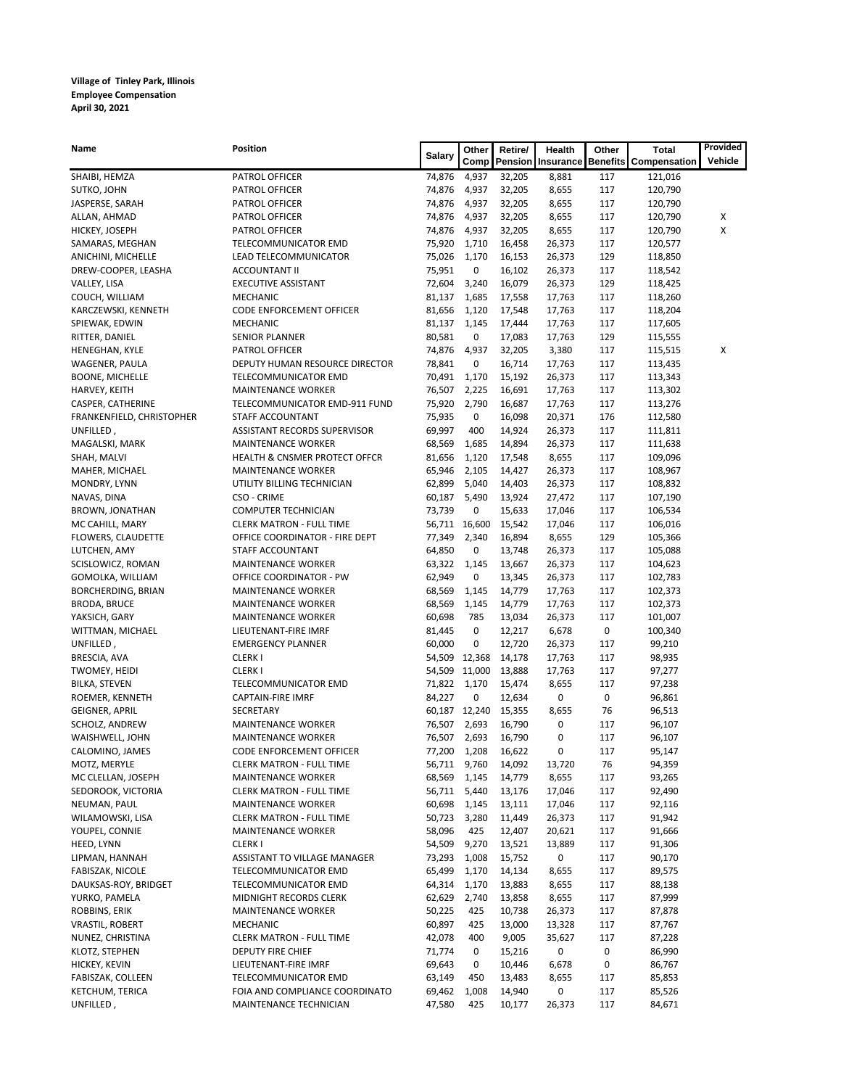| <b>Name</b>               | <b>Position</b>                     |               | Other  | Retire/<br><b>Health</b> |                                     | <b>Total</b><br>Other |                              | Provided |
|---------------------------|-------------------------------------|---------------|--------|--------------------------|-------------------------------------|-----------------------|------------------------------|----------|
|                           |                                     | <b>Salary</b> |        |                          | <b>Comp   Pension   Insurance  </b> |                       | <b>Benefits Compensation</b> | Vehicle  |
| SHAIBI, HEMZA             | PATROL OFFICER                      | 74,876        | 4,937  | 32,205                   | 8,881                               | 117                   | 121,016                      |          |
| SUTKO, JOHN               | PATROL OFFICER                      | 74,876        | 4,937  | 32,205                   | 8,655                               | 117                   | 120,790                      |          |
| JASPERSE, SARAH           | PATROL OFFICER                      | 74,876        | 4,937  | 32,205                   | 8,655                               | 117                   | 120,790                      |          |
| ALLAN, AHMAD              | PATROL OFFICER                      | 74,876        | 4,937  | 32,205                   | 8,655                               | 117                   | 120,790                      | X        |
| HICKEY, JOSEPH            | PATROL OFFICER                      | 74,876        | 4,937  | 32,205                   | 8,655                               | 117                   | 120,790                      | Χ        |
| SAMARAS, MEGHAN           | TELECOMMUNICATOR EMD                | 75,920        | 1,710  | 16,458                   | 26,373                              | 117                   | 120,577                      |          |
| ANICHINI, MICHELLE        | LEAD TELECOMMUNICATOR               | 75,026        | 1,170  | 16,153                   | 26,373                              | 129                   | 118,850                      |          |
| DREW-COOPER, LEASHA       | <b>ACCOUNTANT II</b>                | 75,951        | 0      | 16,102                   | 26,373                              | 117                   | 118,542                      |          |
| VALLEY, LISA              | <b>EXECUTIVE ASSISTANT</b>          | 72,604        | 3,240  | 16,079                   | 26,373                              | 129                   | 118,425                      |          |
| COUCH, WILLIAM            | <b>MECHANIC</b>                     | 81,137        | 1,685  | 17,558                   | 17,763                              | 117                   | 118,260                      |          |
| KARCZEWSKI, KENNETH       | CODE ENFORCEMENT OFFICER            | 81,656        | 1,120  | 17,548                   | 17,763                              | 117                   | 118,204                      |          |
| SPIEWAK, EDWIN            | <b>MECHANIC</b>                     | 81,137        | 1,145  | 17,444                   | 17,763                              | 117                   | 117,605                      |          |
| RITTER, DANIEL            | <b>SENIOR PLANNER</b>               | 80,581        | 0      | 17,083                   | 17,763                              | 129                   | 115,555                      |          |
| HENEGHAN, KYLE            | PATROL OFFICER                      | 74,876        | 4,937  | 32,205                   | 3,380                               | 117                   | 115,515                      | X        |
| WAGENER, PAULA            | DEPUTY HUMAN RESOURCE DIRECTOR      | 78,841        | 0      | 16,714                   | 17,763                              | 117                   | 113,435                      |          |
| <b>BOONE, MICHELLE</b>    | TELECOMMUNICATOR EMD                | 70,491        | 1,170  | 15,192                   | 26,373                              | 117                   | 113,343                      |          |
| HARVEY, KEITH             | <b>MAINTENANCE WORKER</b>           | 76,507        | 2,225  | 16,691                   | 17,763                              | 117                   | 113,302                      |          |
| CASPER, CATHERINE         | TELECOMMUNICATOR EMD-911 FUND       | 75,920        | 2,790  | 16,687                   | 17,763                              | 117                   | 113,276                      |          |
| FRANKENFIELD, CHRISTOPHER | STAFF ACCOUNTANT                    | 75,935        | 0      | 16,098                   | 20,371                              | 176                   | 112,580                      |          |
| UNFILLED,                 | <b>ASSISTANT RECORDS SUPERVISOR</b> | 69,997        | 400    | 14,924                   | 26,373                              | 117                   | 111,811                      |          |
| MAGALSKI, MARK            | <b>MAINTENANCE WORKER</b>           | 68,569        | 1,685  | 14,894                   | 26,373                              | 117                   | 111,638                      |          |
| SHAH, MALVI               | HEALTH & CNSMER PROTECT OFFCR       | 81,656        | 1,120  | 17,548                   | 8,655                               | 117                   | 109,096                      |          |
| MAHER, MICHAEL            | <b>MAINTENANCE WORKER</b>           | 65,946        | 2,105  | 14,427                   | 26,373                              | 117                   | 108,967                      |          |
| MONDRY, LYNN              | UTILITY BILLING TECHNICIAN          | 62,899        | 5,040  | 14,403                   | 26,373                              | 117                   | 108,832                      |          |
| NAVAS, DINA               | CSO - CRIME                         | 60,187        | 5,490  | 13,924                   | 27,472                              | 117                   | 107,190                      |          |
| BROWN, JONATHAN           | <b>COMPUTER TECHNICIAN</b>          | 73,739        | 0      | 15,633                   | 17,046                              | 117                   | 106,534                      |          |
| MC CAHILL, MARY           | <b>CLERK MATRON - FULL TIME</b>     | 56,711        | 16,600 | 15,542                   | 17,046                              | 117                   | 106,016                      |          |
| FLOWERS, CLAUDETTE        | OFFICE COORDINATOR - FIRE DEPT      | 77,349        | 2,340  | 16,894                   | 8,655                               | 129                   | 105,366                      |          |
| LUTCHEN, AMY              | STAFF ACCOUNTANT                    | 64,850        | 0      | 13,748                   | 26,373                              | 117                   | 105,088                      |          |
| SCISLOWICZ, ROMAN         | <b>MAINTENANCE WORKER</b>           | 63,322 1,145  |        | 13,667                   | 26,373                              | 117                   | 104,623                      |          |
| GOMOLKA, WILLIAM          | <b>OFFICE COORDINATOR - PW</b>      | 62,949        | 0      | 13,345                   | 26,373                              | 117                   | 102,783                      |          |
| <b>BORCHERDING, BRIAN</b> | <b>MAINTENANCE WORKER</b>           | 68,569        | 1,145  | 14,779                   | 17,763                              | 117                   | 102,373                      |          |
| <b>BRODA, BRUCE</b>       | <b>MAINTENANCE WORKER</b>           | 68,569        | 1,145  | 14,779                   | 17,763                              | 117                   | 102,373                      |          |
| YAKSICH, GARY             | <b>MAINTENANCE WORKER</b>           | 60,698        | 785    | 13,034                   | 26,373                              | 117                   | 101,007                      |          |
| WITTMAN, MICHAEL          | LIEUTENANT-FIRE IMRF                | 81,445        | 0      | 12,217                   | 6,678                               | 0                     | 100,340                      |          |
| UNFILLED,                 | <b>EMERGENCY PLANNER</b>            | 60,000        | 0      | 12,720                   | 26,373                              | 117                   | 99,210                       |          |
| BRESCIA, AVA              | <b>CLERKI</b>                       | 54,509        | 12,368 | 14,178                   | 17,763                              | 117                   | 98,935                       |          |
| TWOMEY, HEIDI             | <b>CLERKI</b>                       | 54,509        | 11,000 | 13,888                   | 17,763                              | 117                   | 97,277                       |          |
| <b>BILKA, STEVEN</b>      | TELECOMMUNICATOR EMD                | 71,822        | 1,170  | 15,474                   | 8,655                               | 117                   | 97,238                       |          |
| ROEMER, KENNETH           | <b>CAPTAIN-FIRE IMRF</b>            | 84,227        | 0      | 12,634                   | 0                                   | 0                     | 96,861                       |          |
| <b>GEIGNER, APRIL</b>     | <b>SECRETARY</b>                    | 60,187        | 12,240 | 15,355                   | 8,655                               | 76                    | 96,513                       |          |
| SCHOLZ, ANDREW            | <b>MAINTENANCE WORKER</b>           | 76,507        | 2,693  | 16,790                   | 0                                   | 117                   | 96,107                       |          |
| WAISHWELL, JOHN           | <b>MAINTENANCE WORKER</b>           | 76,507        | 2,693  | 16,790                   | 0                                   | 117                   | 96,107                       |          |
| CALOMINO, JAMES           | CODE ENFORCEMENT OFFICER            | 77,200        | 1,208  | 16,622                   | 0                                   | 117                   | 95,147                       |          |
| MOTZ, MERYLE              | <b>CLERK MATRON - FULL TIME</b>     | 56,711        | 9,760  | 14,092                   | 13,720                              | 76                    | 94,359                       |          |
| MC CLELLAN, JOSEPH        | <b>MAINTENANCE WORKER</b>           | 68,569        | 1,145  | 14,779                   | 8,655                               | 117                   | 93,265                       |          |
| SEDOROOK, VICTORIA        | <b>CLERK MATRON - FULL TIME</b>     | 56,711        | 5,440  | 13,176                   | 17,046                              | 117                   | 92,490                       |          |
| NEUMAN, PAUL              | <b>MAINTENANCE WORKER</b>           | 60,698        | 1,145  | 13,111                   | 17,046                              | 117                   | 92,116                       |          |
| WILAMOWSKI, LISA          | <b>CLERK MATRON - FULL TIME</b>     | 50,723        | 3,280  | 11,449                   | 26,373                              | 117                   | 91,942                       |          |
| YOUPEL, CONNIE            | <b>MAINTENANCE WORKER</b>           | 58,096        | 425    | 12,407                   | 20,621                              | 117                   | 91,666                       |          |

| HEED, LYNN             | <b>CLERKI</b>                   | 54,509 | 9,270       | 13,521 | 13,889 | 117 | 91,306 |
|------------------------|---------------------------------|--------|-------------|--------|--------|-----|--------|
| LIPMAN, HANNAH         | ASSISTANT TO VILLAGE MANAGER    | 73,293 | 1,008       | 15,752 | 0      | 117 | 90,170 |
| FABISZAK, NICOLE       | TELECOMMUNICATOR EMD            | 65,499 | 1,170       | 14,134 | 8,655  | 117 | 89,575 |
| DAUKSAS-ROY, BRIDGET   | TELECOMMUNICATOR EMD            | 64,314 | 1,170       | 13,883 | 8,655  | 117 | 88,138 |
| YURKO, PAMELA          | <b>MIDNIGHT RECORDS CLERK</b>   | 62,629 | 2.740       | 13,858 | 8,655  | 117 | 87,999 |
| ROBBINS, ERIK          | <b>MAINTENANCE WORKER</b>       | 50,225 | 425         | 10,738 | 26,373 | 117 | 87,878 |
| <b>VRASTIL, ROBERT</b> | <b>MECHANIC</b>                 | 60,897 | 425         | 13,000 | 13,328 | 117 | 87,767 |
| NUNEZ, CHRISTINA       | <b>CLERK MATRON - FULL TIME</b> | 42.078 | 400         | 9,005  | 35,627 | 117 | 87,228 |
| KLOTZ, STEPHEN         | <b>DEPUTY FIRE CHIEF</b>        | 71.774 | $\mathbf 0$ | 15,216 | 0      | 0   | 86,990 |
| HICKEY, KEVIN          | LIEUTENANT-FIRE IMRF            | 69,643 | 0           | 10,446 | 6,678  | 0   | 86,767 |
| FABISZAK, COLLEEN      | TELECOMMUNICATOR EMD            | 63,149 | 450         | 13,483 | 8,655  | 117 | 85,853 |
| KETCHUM, TERICA        | FOIA AND COMPLIANCE COORDINATO  | 69,462 | 1,008       | 14,940 | 0      | 117 | 85,526 |
| UNFILLED,              | <b>MAINTENANCE TECHNICIAN</b>   | 47,580 | 425         | 10.177 | 26,373 | 117 | 84,671 |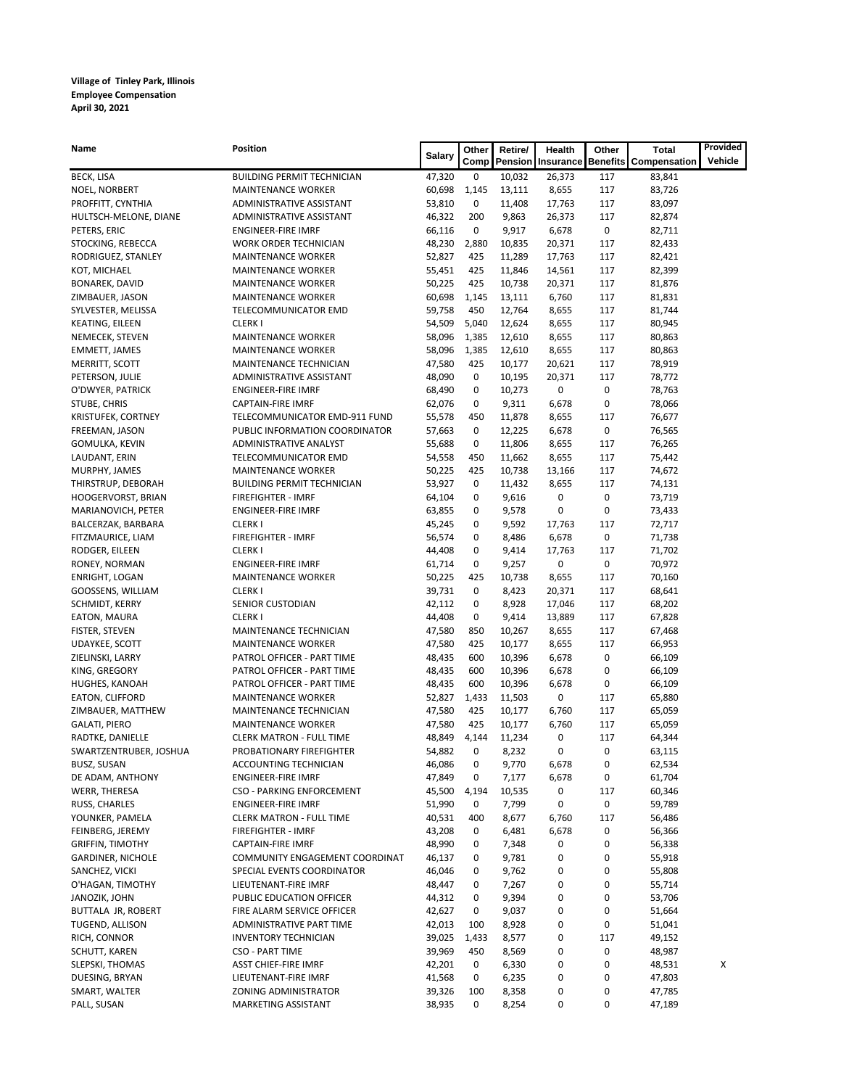| Name                             | <b>Position</b>                                           | <b>Salary</b>    | Other                      | Retire/         | <b>Health</b>            | Other          | <b>Total</b>                 | Provided       |
|----------------------------------|-----------------------------------------------------------|------------------|----------------------------|-----------------|--------------------------|----------------|------------------------------|----------------|
|                                  |                                                           |                  | Comp                       |                 | <b>Pension Insurance</b> |                | <b>Benefits Compensation</b> | <b>Vehicle</b> |
| <b>BECK, LISA</b>                | <b>BUILDING PERMIT TECHNICIAN</b>                         | 47,320           | 0                          | 10,032          | 26,373                   | 117            | 83,841                       |                |
| NOEL, NORBERT                    | <b>MAINTENANCE WORKER</b>                                 | 60,698           | 1,145                      | 13,111          | 8,655                    | 117            | 83,726                       |                |
| PROFFITT, CYNTHIA                | ADMINISTRATIVE ASSISTANT                                  | 53,810           | $\mathbf 0$                | 11,408          | 17,763                   | 117            | 83,097                       |                |
| HULTSCH-MELONE, DIANE            | ADMINISTRATIVE ASSISTANT                                  | 46,322           | 200                        | 9,863           | 26,373                   | 117            | 82,874                       |                |
| PETERS, ERIC                     | <b>ENGINEER-FIRE IMRF</b>                                 | 66,116           | $\mathbf 0$                | 9,917           | 6,678                    | 0              | 82,711                       |                |
| STOCKING, REBECCA                | <b>WORK ORDER TECHNICIAN</b>                              | 48,230           | 2,880                      | 10,835          | 20,371                   | 117            | 82,433                       |                |
| RODRIGUEZ, STANLEY               | <b>MAINTENANCE WORKER</b>                                 | 52,827           | 425                        | 11,289          | 17,763                   | 117            | 82,421                       |                |
| KOT, MICHAEL                     | <b>MAINTENANCE WORKER</b>                                 | 55,451           | 425                        | 11,846          | 14,561                   | 117            | 82,399                       |                |
| <b>BONAREK, DAVID</b>            | <b>MAINTENANCE WORKER</b>                                 | 50,225           | 425                        | 10,738          | 20,371                   | 117            | 81,876                       |                |
| ZIMBAUER, JASON                  | <b>MAINTENANCE WORKER</b>                                 | 60,698           | 1,145                      | 13,111          | 6,760                    | 117            | 81,831                       |                |
| SYLVESTER, MELISSA               | TELECOMMUNICATOR EMD                                      | 59,758           | 450                        | 12,764          | 8,655                    | 117            | 81,744                       |                |
| <b>KEATING, EILEEN</b>           | <b>CLERKI</b>                                             | 54,509           | 5,040                      | 12,624          | 8,655                    | 117            | 80,945                       |                |
| NEMECEK, STEVEN                  | <b>MAINTENANCE WORKER</b>                                 | 58,096           | 1,385                      | 12,610          | 8,655                    | 117            | 80,863                       |                |
| EMMETT, JAMES                    | <b>MAINTENANCE WORKER</b>                                 | 58,096           | 1,385                      | 12,610          | 8,655                    | 117            | 80,863                       |                |
| MERRITT, SCOTT                   | MAINTENANCE TECHNICIAN                                    | 47,580           | 425                        | 10,177          | 20,621                   | 117            | 78,919                       |                |
| PETERSON, JULIE                  | ADMINISTRATIVE ASSISTANT<br><b>ENGINEER-FIRE IMRF</b>     | 48,090           | 0                          | 10,195          | 20,371                   | 117            | 78,772                       |                |
| O'DWYER, PATRICK<br>STUBE, CHRIS |                                                           | 68,490           | $\mathbf 0$<br>$\mathbf 0$ | 10,273          | 0                        | 0<br>$\pmb{0}$ | 78,763<br>78,066             |                |
| KRISTUFEK, CORTNEY               | <b>CAPTAIN-FIRE IMRF</b><br>TELECOMMUNICATOR EMD-911 FUND | 62,076<br>55,578 | 450                        | 9,311<br>11,878 | 6,678<br>8,655           | 117            | 76,677                       |                |
| FREEMAN, JASON                   | PUBLIC INFORMATION COORDINATOR                            | 57,663           | 0                          | 12,225          | 6,678                    | $\pmb{0}$      | 76,565                       |                |
| GOMULKA, KEVIN                   | ADMINISTRATIVE ANALYST                                    | 55,688           | 0                          | 11,806          | 8,655                    | 117            | 76,265                       |                |
| LAUDANT, ERIN                    | TELECOMMUNICATOR EMD                                      | 54,558           | 450                        | 11,662          | 8,655                    | 117            | 75,442                       |                |
| MURPHY, JAMES                    | <b>MAINTENANCE WORKER</b>                                 | 50,225           | 425                        | 10,738          | 13,166                   | 117            | 74,672                       |                |
| THIRSTRUP, DEBORAH               | <b>BUILDING PERMIT TECHNICIAN</b>                         | 53,927           | 0                          | 11,432          | 8,655                    | 117            | 74,131                       |                |
| HOOGERVORST, BRIAN               | <b>FIREFIGHTER - IMRF</b>                                 | 64,104           | $\mathbf 0$                | 9,616           | 0                        | 0              | 73,719                       |                |
| MARIANOVICH, PETER               | <b>ENGINEER-FIRE IMRF</b>                                 | 63,855           | 0                          | 9,578           | 0                        | $\pmb{0}$      | 73,433                       |                |
| BALCERZAK, BARBARA               | <b>CLERKI</b>                                             | 45,245           | 0                          | 9,592           | 17,763                   | 117            | 72,717                       |                |
| FITZMAURICE, LIAM                | <b>FIREFIGHTER - IMRF</b>                                 | 56,574           | 0                          | 8,486           | 6,678                    | $\pmb{0}$      | 71,738                       |                |
| RODGER, EILEEN                   | <b>CLERKI</b>                                             | 44,408           | 0                          | 9,414           | 17,763                   | 117            | 71,702                       |                |
| RONEY, NORMAN                    | <b>ENGINEER-FIRE IMRF</b>                                 | 61,714           | 0                          | 9,257           | 0                        | 0              | 70,972                       |                |
| <b>ENRIGHT, LOGAN</b>            | <b>MAINTENANCE WORKER</b>                                 | 50,225           | 425                        | 10,738          | 8,655                    | 117            | 70,160                       |                |
| GOOSSENS, WILLIAM                | <b>CLERKI</b>                                             | 39,731           | $\mathbf 0$                | 8,423           | 20,371                   | 117            | 68,641                       |                |
| SCHMIDT, KERRY                   | SENIOR CUSTODIAN                                          | 42,112           | 0                          | 8,928           | 17,046                   | 117            | 68,202                       |                |
| EATON, MAURA                     | <b>CLERKI</b>                                             | 44,408           | $\mathbf 0$                | 9,414           | 13,889                   | 117            | 67,828                       |                |
| FISTER, STEVEN                   | MAINTENANCE TECHNICIAN                                    | 47,580           | 850                        | 10,267          | 8,655                    | 117            | 67,468                       |                |
| <b>UDAYKEE, SCOTT</b>            | <b>MAINTENANCE WORKER</b>                                 | 47,580           | 425                        | 10,177          | 8,655                    | 117            | 66,953                       |                |
| ZIELINSKI, LARRY                 | PATROL OFFICER - PART TIME                                | 48,435           | 600                        | 10,396          | 6,678                    | 0              | 66,109                       |                |
| KING, GREGORY                    | PATROL OFFICER - PART TIME                                | 48,435           | 600                        | 10,396          | 6,678                    | 0              | 66,109                       |                |
| HUGHES, KANOAH                   | PATROL OFFICER - PART TIME                                | 48,435           | 600                        | 10,396          | 6,678                    | 0              | 66,109                       |                |
| EATON, CLIFFORD                  | <b>MAINTENANCE WORKER</b>                                 | 52,827           | 1,433                      | 11,503          | 0                        | 117            | 65,880                       |                |
| ZIMBAUER, MATTHEW                | MAINTENANCE TECHNICIAN                                    | 47,580           | 425                        | 10,177          | 6,760                    | 117            | 65,059                       |                |
| <b>GALATI, PIERO</b>             | <b>MAINTENANCE WORKER</b>                                 | 47,580           | 425                        | 10,177          | 6,760                    | 117            | 65,059                       |                |
| RADTKE, DANIELLE                 | <b>CLERK MATRON - FULL TIME</b>                           | 48,849           | 4,144                      | 11,234          | 0                        | 117            | 64,344                       |                |
| SWARTZENTRUBER, JOSHUA           | PROBATIONARY FIREFIGHTER                                  | 54,882           | $\mathbf 0$                | 8,232           | 0                        | 0              | 63,115                       |                |
| <b>BUSZ, SUSAN</b>               | ACCOUNTING TECHNICIAN                                     | 46,086           | 0                          | 9,770           | 6,678                    | 0              | 62,534                       |                |
| DE ADAM, ANTHONY                 | <b>ENGINEER-FIRE IMRF</b>                                 | 47,849           | 0                          | 7,177           | 6,678                    | 0              | 61,704                       |                |
| WERR, THERESA                    | <b>CSO - PARKING ENFORCEMENT</b>                          | 45,500           | 4,194                      | 10,535          | 0                        | 117            | 60,346                       |                |
| RUSS, CHARLES                    | <b>ENGINEER-FIRE IMRF</b>                                 | 51,990           | $\mathbf 0$                | 7,799           | 0                        | 0              | 59,789                       |                |
| YOUNKER, PAMELA                  | <b>CLERK MATRON - FULL TIME</b>                           | 40,531           | 400                        | 8,677           | 6,760                    | 117            | 56,486                       |                |
| FEINBERG, JEREMY                 | <b>FIREFIGHTER - IMRF</b>                                 | 43,208           | 0                          | 6,481           | 6,678                    | 0              | 56,366                       |                |
| <b>GRIFFIN, TIMOTHY</b>          | <b>CAPTAIN-FIRE IMRF</b>                                  | 48,990           | $\mathbf{0}$               | 7,348           | 0                        | 0              | 56,338                       |                |
| <b>GARDINER, NICHOLE</b>         | COMMUNITY ENGAGEMENT COORDINAT                            | 46,137           | $\mathbf{0}$               | 9,781           | 0                        | 0              | 55,918                       |                |
| SANCHEZ, VICKI                   | SPECIAL EVENTS COORDINATOR                                | 46,046           | 0                          | 9,762           | 0                        | 0              | 55,808                       |                |
| O'HAGAN, TIMOTHY                 | LIEUTENANT-FIRE IMRF                                      | 48,447           | 0                          | 7,267           | 0                        | 0              | 55,714                       |                |
| JANOZIK, JOHN                    | PUBLIC EDUCATION OFFICER                                  | 44,312           | 0                          | 9,394           | 0                        | 0              | 53,706                       |                |
| BUTTALA JR, ROBERT               | FIRE ALARM SERVICE OFFICER                                | 42,627           | $\mathbf 0$                | 9,037           | 0                        | 0              | 51,664                       |                |
| TUGEND, ALLISON                  | ADMINISTRATIVE PART TIME                                  | 42,013           | 100                        | 8,928           | 0                        | 0              | 51,041                       |                |
| RICH, CONNOR                     | <b>INVENTORY TECHNICIAN</b>                               | 39,025           | 1,433                      | 8,577           | 0                        | 117            | 49,152                       |                |
| SCHUTT, KAREN                    | <b>CSO - PART TIME</b>                                    | 39,969           | 450                        | 8,569           | 0                        | 0              | 48,987                       |                |
| SLEPSKI, THOMAS                  | <b>ASST CHIEF-FIRE IMRF</b>                               | 42,201           | 0                          | 6,330           | 0                        | 0              | 48,531                       | X              |
| DUESING, BRYAN                   | LIEUTENANT-FIRE IMRF                                      | 41,568           | 0                          | 6,235           | 0                        | 0              | 47,803                       |                |
| SMART, WALTER                    | ZONING ADMINISTRATOR                                      | 39,326           | 100                        | 8,358           | 0                        | 0              | 47,785                       |                |
| PALL, SUSAN                      | MARKETING ASSISTANT                                       | 38,935           | 0                          | 8,254           | 0                        | 0              | 47,189                       |                |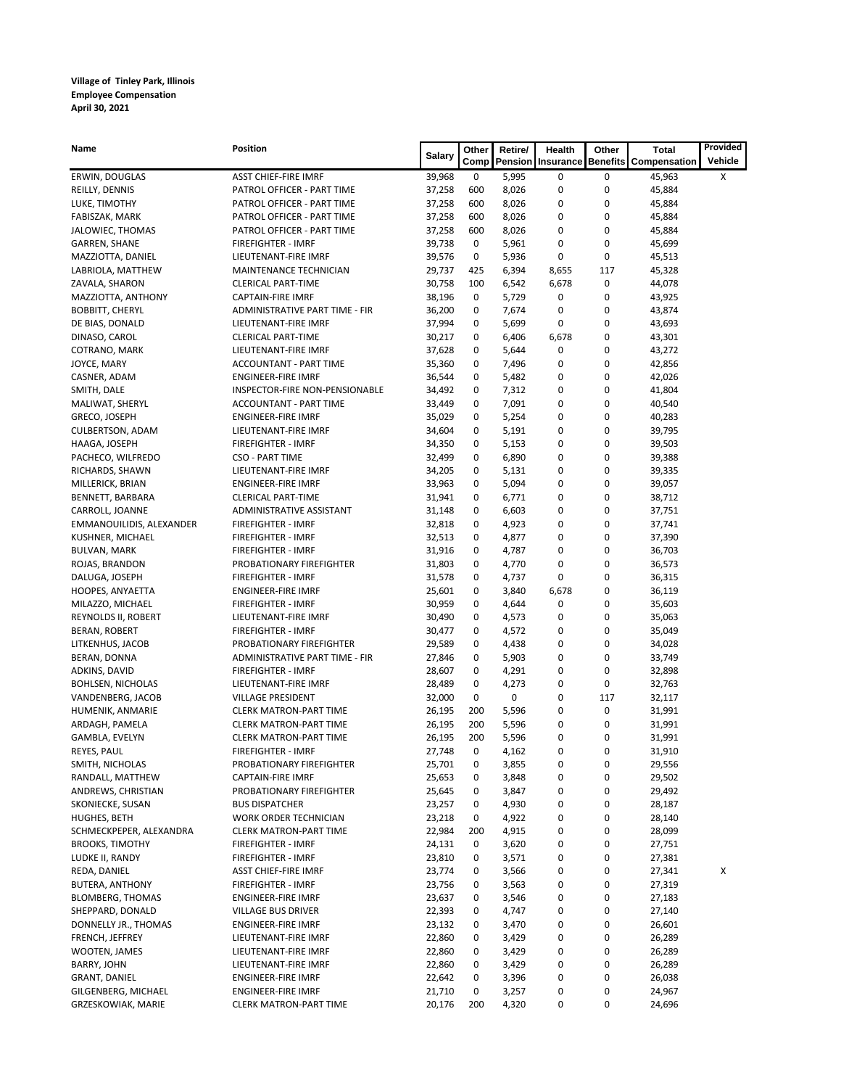| <b>Name</b>              | <b>Position</b>                | <b>Salary</b> | Other | Retire/ | <b>Health</b>              | Other | <b>Total</b>                 | Provided |
|--------------------------|--------------------------------|---------------|-------|---------|----------------------------|-------|------------------------------|----------|
|                          |                                |               |       |         | Comp   Pension   Insurance |       | <b>Benefits Compensation</b> | Vehicle  |
| ERWIN, DOUGLAS           | <b>ASST CHIEF-FIRE IMRF</b>    | 39,968        | 0     | 5,995   | 0                          | 0     | 45,963                       | X        |
| REILLY, DENNIS           | PATROL OFFICER - PART TIME     | 37,258        | 600   | 8,026   | 0                          | 0     | 45,884                       |          |
| LUKE, TIMOTHY            | PATROL OFFICER - PART TIME     | 37,258        | 600   | 8,026   | 0                          | 0     | 45,884                       |          |
| FABISZAK, MARK           | PATROL OFFICER - PART TIME     | 37,258        | 600   | 8,026   | 0                          | 0     | 45,884                       |          |
| JALOWIEC, THOMAS         | PATROL OFFICER - PART TIME     | 37,258        | 600   | 8,026   | 0                          | 0     | 45,884                       |          |
| <b>GARREN, SHANE</b>     | FIREFIGHTER - IMRF             | 39,738        | 0     | 5,961   | 0                          | 0     | 45,699                       |          |
| MAZZIOTTA, DANIEL        | LIEUTENANT-FIRE IMRF           | 39,576        | 0     | 5,936   | $\pmb{0}$                  | 0     | 45,513                       |          |
| LABRIOLA, MATTHEW        | MAINTENANCE TECHNICIAN         | 29,737        | 425   | 6,394   | 8,655                      | 117   | 45,328                       |          |
| ZAVALA, SHARON           | <b>CLERICAL PART-TIME</b>      | 30,758        | 100   | 6,542   | 6,678                      | 0     | 44,078                       |          |
| MAZZIOTTA, ANTHONY       | <b>CAPTAIN-FIRE IMRF</b>       | 38,196        | 0     | 5,729   | 0                          | 0     | 43,925                       |          |
| <b>BOBBITT, CHERYL</b>   | ADMINISTRATIVE PART TIME - FIR | 36,200        | 0     | 7,674   | 0                          | 0     | 43,874                       |          |
| DE BIAS, DONALD          | LIEUTENANT-FIRE IMRF           | 37,994        | 0     | 5,699   | 0                          | 0     | 43,693                       |          |
| DINASO, CAROL            | <b>CLERICAL PART-TIME</b>      | 30,217        | 0     | 6,406   | 6,678                      | 0     | 43,301                       |          |
| COTRANO, MARK            | LIEUTENANT-FIRE IMRF           | 37,628        | 0     | 5,644   | 0                          | 0     | 43,272                       |          |
| JOYCE, MARY              | ACCOUNTANT - PART TIME         | 35,360        | 0     | 7,496   | 0                          | 0     | 42,856                       |          |
| CASNER, ADAM             | <b>ENGINEER-FIRE IMRF</b>      | 36,544        | 0     | 5,482   | 0                          | 0     | 42,026                       |          |
| SMITH, DALE              | INSPECTOR-FIRE NON-PENSIONABLE | 34,492        | 0     | 7,312   | 0                          | 0     | 41,804                       |          |
| MALIWAT, SHERYL          | <b>ACCOUNTANT - PART TIME</b>  | 33,449        | 0     | 7,091   | 0                          | 0     | 40,540                       |          |
| GRECO, JOSEPH            | <b>ENGINEER-FIRE IMRF</b>      | 35,029        | 0     | 5,254   | 0                          | 0     | 40,283                       |          |
| <b>CULBERTSON, ADAM</b>  | LIEUTENANT-FIRE IMRF           | 34,604        | 0     | 5,191   | 0                          | 0     | 39,795                       |          |
| HAAGA, JOSEPH            | FIREFIGHTER - IMRF             | 34,350        | 0     | 5,153   | 0                          | 0     | 39,503                       |          |
| PACHECO, WILFREDO        | <b>CSO - PART TIME</b>         | 32,499        | 0     | 6,890   | 0                          | 0     | 39,388                       |          |
| RICHARDS, SHAWN          | LIEUTENANT-FIRE IMRF           | 34,205        | 0     | 5,131   | 0                          | 0     | 39,335                       |          |
| MILLERICK, BRIAN         | <b>ENGINEER-FIRE IMRF</b>      | 33,963        | 0     | 5,094   | 0                          | 0     | 39,057                       |          |
| BENNETT, BARBARA         | <b>CLERICAL PART-TIME</b>      | 31,941        | 0     | 6,771   | 0                          | 0     | 38,712                       |          |
| CARROLL, JOANNE          | ADMINISTRATIVE ASSISTANT       | 31,148        | 0     | 6,603   | 0                          | 0     | 37,751                       |          |
| EMMANOUILIDIS, ALEXANDER | FIREFIGHTER - IMRF             | 32,818        | 0     | 4,923   | 0                          | 0     | 37,741                       |          |
| KUSHNER, MICHAEL         | FIREFIGHTER - IMRF             | 32,513        | 0     | 4,877   | 0                          | 0     | 37,390                       |          |
| <b>BULVAN, MARK</b>      | FIREFIGHTER - IMRF             | 31,916        | 0     | 4,787   | 0                          | 0     | 36,703                       |          |
| ROJAS, BRANDON           | PROBATIONARY FIREFIGHTER       | 31,803        | 0     | 4,770   | 0                          | 0     | 36,573                       |          |
| DALUGA, JOSEPH           | <b>FIREFIGHTER - IMRF</b>      | 31,578        | 0     | 4,737   | 0                          | 0     | 36,315                       |          |
| HOOPES, ANYAETTA         | <b>ENGINEER-FIRE IMRF</b>      | 25,601        | 0     | 3,840   | 6,678                      | 0     | 36,119                       |          |
| MILAZZO, MICHAEL         | FIREFIGHTER - IMRF             | 30,959        | 0     | 4,644   | 0                          | 0     | 35,603                       |          |
| REYNOLDS II, ROBERT      | LIEUTENANT-FIRE IMRF           | 30,490        | 0     | 4,573   | 0                          | 0     | 35,063                       |          |
| BERAN, ROBERT            | FIREFIGHTER - IMRF             | 30,477        | 0     | 4,572   | 0                          | 0     | 35,049                       |          |
| LITKENHUS, JACOB         | PROBATIONARY FIREFIGHTER       | 29,589        | 0     | 4,438   | 0                          | 0     | 34,028                       |          |
| BERAN, DONNA             | ADMINISTRATIVE PART TIME - FIR | 27,846        | 0     | 5,903   | 0                          | 0     | 33,749                       |          |
| ADKINS, DAVID            | <b>FIREFIGHTER - IMRF</b>      | 28,607        | 0     | 4,291   | 0                          | 0     | 32,898                       |          |
| <b>BOHLSEN, NICHOLAS</b> | LIEUTENANT-FIRE IMRF           | 28,489        | 0     | 4,273   | 0                          | 0     | 32,763                       |          |
| VANDENBERG, JACOB        | <b>VILLAGE PRESIDENT</b>       | 32,000        | 0     | 0       | 0                          | 117   | 32,117                       |          |
| HUMENIK, ANMARIE         | <b>CLERK MATRON-PART TIME</b>  | 26,195        | 200   | 5,596   | 0                          | 0     | 31,991                       |          |
| ARDAGH, PAMELA           | <b>CLERK MATRON-PART TIME</b>  | 26,195        | 200   | 5,596   | 0                          | 0     | 31,991                       |          |
| GAMBLA, EVELYN           | <b>CLERK MATRON-PART TIME</b>  | 26,195        | 200   | 5,596   | 0                          | 0     | 31,991                       |          |
| REYES, PAUL              | FIREFIGHTER - IMRF             | 27,748        |       | 4,162   |                            | 0     | 31,910                       |          |
|                          |                                |               | 0     |         | 0                          |       |                              |          |
| SMITH, NICHOLAS          | PROBATIONARY FIREFIGHTER       | 25,701        | 0     | 3,855   | 0                          | 0     | 29,556                       |          |
| RANDALL, MATTHEW         | <b>CAPTAIN-FIRE IMRF</b>       | 25,653        | 0     | 3,848   | 0                          | 0     | 29,502                       |          |
| ANDREWS, CHRISTIAN       | PROBATIONARY FIREFIGHTER       | 25,645        | 0     | 3,847   | 0                          | 0     | 29,492                       |          |
| SKONIECKE, SUSAN         | <b>BUS DISPATCHER</b>          | 23,257        | 0     | 4,930   | 0                          | 0     | 28,187                       |          |
| HUGHES, BETH             | <b>WORK ORDER TECHNICIAN</b>   | 23,218        | 0     | 4,922   | 0                          | 0     | 28,140                       |          |
| SCHMECKPEPER, ALEXANDRA  | <b>CLERK MATRON-PART TIME</b>  | 22,984        | 200   | 4,915   | 0                          | 0     | 28,099                       |          |

| <b>BROOKS, TIMOTHY</b>    | <b>FIREFIGHTER - IMRF</b>     | 24,131 | 0            | 3,620 | 0 | 0 | 27,751 |   |
|---------------------------|-------------------------------|--------|--------------|-------|---|---|--------|---|
| LUDKE II, RANDY           | <b>FIREFIGHTER - IMRF</b>     | 23,810 | $\mathbf 0$  | 3,571 | 0 | 0 | 27,381 |   |
| REDA, DANIEL              | <b>ASST CHIEF-FIRE IMRF</b>   | 23.774 | $\mathbf 0$  | 3,566 | 0 | 0 | 27,341 | Х |
| <b>BUTERA, ANTHONY</b>    | <b>FIREFIGHTER - IMRF</b>     | 23,756 | $\mathbf 0$  | 3,563 | 0 | 0 | 27,319 |   |
| <b>BLOMBERG, THOMAS</b>   | ENGINEER-FIRE IMRF            | 23,637 | $\mathbf 0$  | 3,546 | 0 | 0 | 27,183 |   |
| SHEPPARD, DONALD          | <b>VILLAGE BUS DRIVER</b>     | 22,393 | $\mathbf 0$  | 4,747 | 0 | 0 | 27,140 |   |
| DONNELLY JR., THOMAS      | ENGINEER-FIRE IMRF            | 23,132 | $\mathbf 0$  | 3,470 | 0 | 0 | 26,601 |   |
| FRENCH, JEFFREY           | LIEUTENANT-FIRE IMRF          | 22,860 | $\mathbf 0$  | 3,429 | 0 | 0 | 26,289 |   |
| WOOTEN, JAMES             | LIEUTENANT-FIRE IMRF          | 22,860 | $\mathbf 0$  | 3,429 | 0 | 0 | 26,289 |   |
| BARRY, JOHN               | LIEUTENANT-FIRE IMRF          | 22,860 | $\mathbf 0$  | 3,429 | 0 | 0 | 26,289 |   |
| <b>GRANT, DANIEL</b>      | <b>ENGINEER-FIRE IMRF</b>     | 22,642 | $\mathbf{0}$ | 3,396 | 0 | 0 | 26,038 |   |
| GILGENBERG, MICHAEL       | <b>ENGINEER-FIRE IMRF</b>     | 21,710 | 0            | 3,257 | 0 | 0 | 24,967 |   |
| <b>GRZESKOWIAK, MARIE</b> | <b>CLERK MATRON-PART TIME</b> | 20,176 | 200          | 4,320 | 0 |   | 24,696 |   |
|                           |                               |        |              |       |   |   |        |   |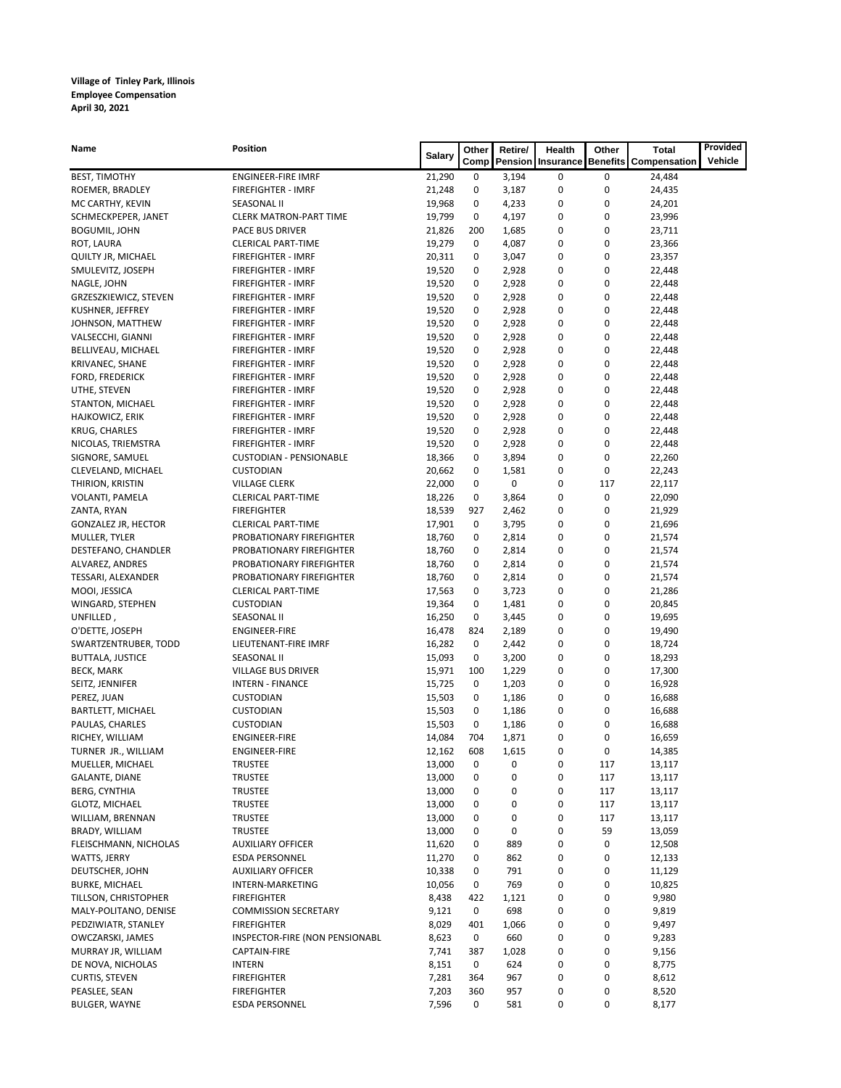| <b>Name</b>                        | <b>Position</b>                   | <b>Salary</b>    | <b>Other</b> | Retire/        | <b>Health</b>                     | Other  | <b>Total</b>        | Provided |
|------------------------------------|-----------------------------------|------------------|--------------|----------------|-----------------------------------|--------|---------------------|----------|
|                                    |                                   |                  | Comp         |                | <b>Pension Insurance Benefits</b> |        | <b>Compensation</b> | Vehicle  |
| <b>BEST, TIMOTHY</b>               | <b>ENGINEER-FIRE IMRF</b>         | 21,290           | 0            | 3,194          | 0                                 | 0      | 24,484              |          |
| ROEMER, BRADLEY                    | <b>FIREFIGHTER - IMRF</b>         | 21,248           | 0            | 3,187          | 0                                 | 0      | 24,435              |          |
| MC CARTHY, KEVIN                   | <b>SEASONAL II</b>                | 19,968           | 0            | 4,233          | 0                                 | 0      | 24,201              |          |
| SCHMECKPEPER, JANET                | <b>CLERK MATRON-PART TIME</b>     | 19,799           | 0            | 4,197          | 0                                 | 0      | 23,996              |          |
| <b>BOGUMIL, JOHN</b>               | PACE BUS DRIVER                   | 21,826           | 200          | 1,685          | 0                                 | 0      | 23,711              |          |
| ROT, LAURA                         | <b>CLERICAL PART-TIME</b>         | 19,279           | 0            | 4,087          | 0                                 | 0      | 23,366              |          |
| QUILTY JR, MICHAEL                 | <b>FIREFIGHTER - IMRF</b>         | 20,311           | 0            | 3,047          | 0                                 | 0      | 23,357              |          |
| SMULEVITZ, JOSEPH                  | <b>FIREFIGHTER - IMRF</b>         | 19,520           | 0            | 2,928          | 0                                 | 0      | 22,448              |          |
| NAGLE, JOHN                        | FIREFIGHTER - IMRF                | 19,520           | 0            | 2,928          | 0                                 | 0      | 22,448              |          |
| GRZESZKIEWICZ, STEVEN              | FIREFIGHTER - IMRF                | 19,520           | 0            | 2,928          | 0                                 | 0      | 22,448              |          |
| KUSHNER, JEFFREY                   | FIREFIGHTER - IMRF                | 19,520           | 0            | 2,928          | 0                                 | 0      | 22,448              |          |
| JOHNSON, MATTHEW                   | <b>FIREFIGHTER - IMRF</b>         | 19,520           | 0            | 2,928          | 0                                 | 0      | 22,448              |          |
| VALSECCHI, GIANNI                  | <b>FIREFIGHTER - IMRF</b>         | 19,520           | 0            | 2,928          | 0                                 | 0      | 22,448              |          |
| BELLIVEAU, MICHAEL                 | FIREFIGHTER - IMRF                | 19,520           | 0            | 2,928          | 0                                 | 0      | 22,448              |          |
| KRIVANEC, SHANE                    | FIREFIGHTER - IMRF                | 19,520           | 0            | 2,928          | 0                                 | 0      | 22,448              |          |
| FORD, FREDERICK                    | FIREFIGHTER - IMRF                | 19,520           | 0            | 2,928          | 0                                 | 0      | 22,448              |          |
| UTHE, STEVEN                       | FIREFIGHTER - IMRF                | 19,520           | 0            | 2,928          | 0                                 | 0      | 22,448              |          |
| STANTON, MICHAEL                   | <b>FIREFIGHTER - IMRF</b>         | 19,520           | 0            | 2,928          | 0                                 | 0      | 22,448              |          |
| HAJKOWICZ, ERIK                    | FIREFIGHTER - IMRF                | 19,520           | 0            | 2,928          | 0                                 | 0      | 22,448              |          |
| KRUG, CHARLES                      | FIREFIGHTER - IMRF                | 19,520           | 0            | 2,928          | 0                                 | 0      | 22,448              |          |
| NICOLAS, TRIEMSTRA                 | <b>FIREFIGHTER - IMRF</b>         | 19,520           | 0            | 2,928          | 0                                 | 0      | 22,448              |          |
| SIGNORE, SAMUEL                    | <b>CUSTODIAN - PENSIONABLE</b>    | 18,366           | 0            | 3,894          | 0                                 | 0      | 22,260              |          |
| CLEVELAND, MICHAEL                 | <b>CUSTODIAN</b>                  | 20,662           | 0            | 1,581          | 0                                 | 0      | 22,243              |          |
| THIRION, KRISTIN                   | <b>VILLAGE CLERK</b>              | 22,000           | 0            | 0              | 0                                 | 117    | 22,117              |          |
| VOLANTI, PAMELA                    | <b>CLERICAL PART-TIME</b>         | 18,226           | 0            | 3,864          | 0                                 | 0      | 22,090              |          |
| ZANTA, RYAN                        | <b>FIREFIGHTER</b>                | 18,539           | 927          | 2,462          | 0                                 | 0      | 21,929              |          |
| <b>GONZALEZ JR, HECTOR</b>         | <b>CLERICAL PART-TIME</b>         | 17,901           | 0            | 3,795          | 0                                 | 0      | 21,696              |          |
| MULLER, TYLER                      | PROBATIONARY FIREFIGHTER          | 18,760           | 0            | 2,814          | 0                                 | 0      | 21,574              |          |
| DESTEFANO, CHANDLER                | PROBATIONARY FIREFIGHTER          | 18,760           | 0            | 2,814          | 0                                 | 0      | 21,574              |          |
| ALVAREZ, ANDRES                    | PROBATIONARY FIREFIGHTER          | 18,760           | 0            | 2,814          | 0                                 | 0      | 21,574              |          |
| TESSARI, ALEXANDER                 | PROBATIONARY FIREFIGHTER          | 18,760           | 0            | 2,814          | 0                                 | 0      | 21,574              |          |
| MOOI, JESSICA                      | <b>CLERICAL PART-TIME</b>         | 17,563           | 0            | 3,723          | 0                                 | 0      | 21,286              |          |
| WINGARD, STEPHEN                   | <b>CUSTODIAN</b>                  | 19,364           | 0            | 1,481          | 0                                 | 0      | 20,845              |          |
| UNFILLED,                          | SEASONAL II                       | 16,250           | 0            | 3,445          | 0                                 | 0      | 19,695              |          |
| O'DETTE, JOSEPH                    | <b>ENGINEER-FIRE</b>              | 16,478           | 824          | 2,189          | 0                                 | 0      | 19,490              |          |
| SWARTZENTRUBER, TODD               | LIEUTENANT-FIRE IMRF              | 16,282           | 0            | 2,442          | 0                                 | 0      | 18,724              |          |
| <b>BUTTALA, JUSTICE</b>            | SEASONAL II                       | 15,093           | 0            | 3,200          | 0                                 | 0      | 18,293              |          |
| <b>BECK, MARK</b>                  | <b>VILLAGE BUS DRIVER</b>         | 15,971           | 100          | 1,229          | 0                                 | 0      | 17,300              |          |
| SEITZ, JENNIFER                    | <b>INTERN - FINANCE</b>           | 15,725           | 0            | 1,203          | 0                                 | 0      | 16,928              |          |
| PEREZ, JUAN                        | <b>CUSTODIAN</b>                  | 15,503           | 0            | 1,186          | 0                                 | 0      | 16,688              |          |
| <b>BARTLETT, MICHAEL</b>           | <b>CUSTODIAN</b>                  | 15,503           | 0            | 1,186          | 0                                 | 0      | 16,688              |          |
| PAULAS, CHARLES<br>RICHEY, WILLIAM | <b>CUSTODIAN</b><br>ENGINEER-FIRE | 15,503<br>14,084 | 0<br>704     | 1,186<br>1,871 | 0                                 | 0<br>0 | 16,688<br>16,659    |          |
| TURNER JR., WILLIAM                | <b>ENGINEER-FIRE</b>              | 12,162           | 608          | 1,615          | 0<br>0                            | 0      | 14,385              |          |
| MUELLER, MICHAEL                   | <b>TRUSTEE</b>                    | 13,000           | 0            | 0              | 0                                 | 117    | 13,117              |          |
| <b>GALANTE, DIANE</b>              | <b>TRUSTEE</b>                    | 13,000           | 0            | 0              | 0                                 | 117    | 13,117              |          |
| <b>BERG, CYNTHIA</b>               | <b>TRUSTEE</b>                    | 13,000           | 0            | 0              | 0                                 | 117    | 13,117              |          |
| GLOTZ, MICHAEL                     | <b>TRUSTEE</b>                    | 13,000           | 0            | 0              | 0                                 | 117    | 13,117              |          |
| WILLIAM, BRENNAN                   | <b>TRUSTEE</b>                    | 13,000           | 0            | 0              | 0                                 | 117    | 13,117              |          |
| BRADY, WILLIAM                     | <b>TRUSTEE</b>                    | 13,000           | 0            | 0              | 0                                 | 59     | 13,059              |          |
| FLEISCHMANN, NICHOLAS              | <b>AUXILIARY OFFICER</b>          | 11,620           | 0            | 889            | 0                                 | 0      | 12,508              |          |
| WATTS, JERRY                       | <b>ESDA PERSONNEL</b>             | 11,270           | 0            | 862            | 0                                 | 0      | 12,133              |          |
| DEUTSCHER, JOHN                    | <b>AUXILIARY OFFICER</b>          | 10,338           | 0            | 791            | 0                                 | 0      | 11,129              |          |
| <b>BURKE, MICHAEL</b>              | INTERN-MARKETING                  | 10,056           | 0            | 769            | 0                                 | 0      | 10,825              |          |
| TILLSON, CHRISTOPHER               | <b>FIREFIGHTER</b>                | 8,438            | 422          | 1,121          | 0                                 | 0      | 9,980               |          |
| MALY-POLITANO, DENISE              | <b>COMMISSION SECRETARY</b>       | 9,121            | 0            | 698            | 0                                 | 0      | 9,819               |          |
| PEDZIWIATR, STANLEY                | <b>FIREFIGHTER</b>                | 8,029            | 401          | 1,066          | 0                                 | 0      | 9,497               |          |
| OWCZARSKI, JAMES                   | INSPECTOR-FIRE (NON PENSIONABL    | 8,623            | 0            | 660            | 0                                 | 0      | 9,283               |          |
| MURRAY JR, WILLIAM                 | CAPTAIN-FIRE                      | 7,741            | 387          | 1,028          | 0                                 | 0      | 9,156               |          |
| DE NOVA, NICHOLAS                  | <b>INTERN</b>                     | 8,151            | 0            | 624            | 0                                 | 0      | 8,775               |          |
| <b>CURTIS, STEVEN</b>              | <b>FIREFIGHTER</b>                | 7,281            | 364          | 967            | 0                                 | 0      | 8,612               |          |
| PEASLEE, SEAN                      | <b>FIREFIGHTER</b>                | 7,203            | 360          | 957            | 0                                 | 0      | 8,520               |          |
| <b>BULGER, WAYNE</b>               | <b>ESDA PERSONNEL</b>             | 7,596            | 0            | 581            | 0                                 | 0      | 8,177               |          |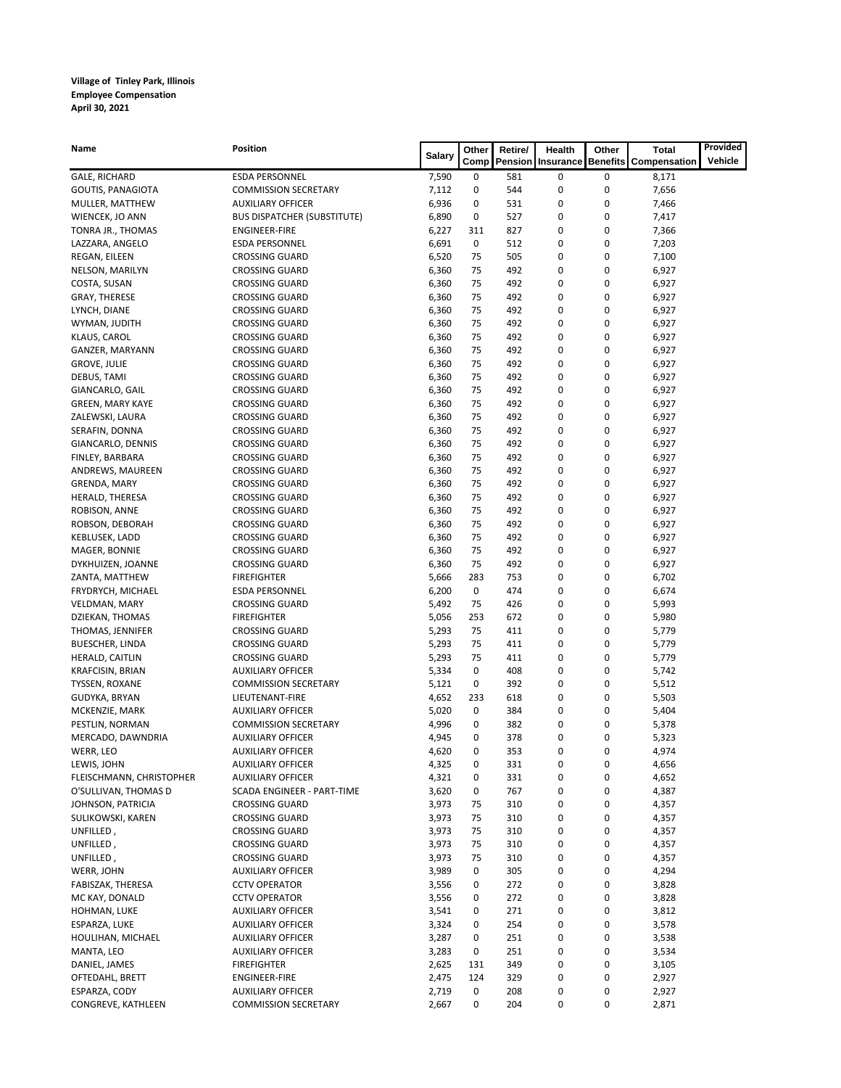| <b>Name</b>                          | <b>Position</b>                                | <b>Salary</b>  | Other       | Retire/    | <b>Health</b>            | <b>Other</b>    | <b>Total</b>        | Provided |
|--------------------------------------|------------------------------------------------|----------------|-------------|------------|--------------------------|-----------------|---------------------|----------|
|                                      |                                                |                | Comp        |            | <b>Pension Insurance</b> | <b>Benefits</b> | <b>Compensation</b> | Vehicle  |
| GALE, RICHARD                        | <b>ESDA PERSONNEL</b>                          | 7,590          | 0           | 581        | 0                        | 0               | 8,171               |          |
| <b>GOUTIS, PANAGIOTA</b>             | <b>COMMISSION SECRETARY</b>                    | 7,112          | 0           | 544        | 0                        | 0               | 7,656               |          |
| MULLER, MATTHEW                      | <b>AUXILIARY OFFICER</b>                       | 6,936          | 0           | 531        | 0                        | 0               | 7,466               |          |
| WIENCEK, JO ANN                      | <b>BUS DISPATCHER (SUBSTITUTE)</b>             | 6,890          | 0           | 527        | 0                        | 0               | 7,417               |          |
| TONRA JR., THOMAS                    | <b>ENGINEER-FIRE</b>                           | 6,227          | 311         | 827        | 0                        | 0               | 7,366               |          |
| LAZZARA, ANGELO                      | <b>ESDA PERSONNEL</b>                          | 6,691          | 0           | 512        | 0                        | 0               | 7,203               |          |
| REGAN, EILEEN                        | <b>CROSSING GUARD</b>                          | 6,520          | 75          | 505        | 0                        | 0               | 7,100               |          |
| NELSON, MARILYN                      | <b>CROSSING GUARD</b>                          | 6,360          | 75          | 492        | 0                        | 0               | 6,927               |          |
| COSTA, SUSAN                         | <b>CROSSING GUARD</b>                          | 6,360          | 75          | 492        | 0                        | 0               | 6,927               |          |
| <b>GRAY, THERESE</b>                 | <b>CROSSING GUARD</b>                          | 6,360          | 75          | 492        | 0                        | 0               | 6,927               |          |
| LYNCH, DIANE                         | <b>CROSSING GUARD</b>                          | 6,360          | 75          | 492        | 0                        | 0               | 6,927               |          |
| WYMAN, JUDITH                        | <b>CROSSING GUARD</b>                          | 6,360          | 75          | 492        | 0                        | 0               | 6,927               |          |
| KLAUS, CAROL                         | <b>CROSSING GUARD</b>                          | 6,360          | 75          | 492        | 0                        | 0               | 6,927               |          |
| GANZER, MARYANN                      | <b>CROSSING GUARD</b>                          | 6,360          | 75          | 492        | 0                        | 0               | 6,927               |          |
| <b>GROVE, JULIE</b>                  | <b>CROSSING GUARD</b>                          | 6,360          | 75          | 492        | 0                        | 0               | 6,927               |          |
| DEBUS, TAMI                          | <b>CROSSING GUARD</b>                          | 6,360          | 75          | 492        | 0                        | 0               | 6,927               |          |
| GIANCARLO, GAIL                      | <b>CROSSING GUARD</b>                          | 6,360          | 75          | 492        | 0                        | 0               | 6,927               |          |
| <b>GREEN, MARY KAYE</b>              | <b>CROSSING GUARD</b>                          | 6,360          | 75          | 492        | 0                        | 0               | 6,927               |          |
| ZALEWSKI, LAURA                      | <b>CROSSING GUARD</b>                          | 6,360          | 75          | 492        | 0                        | 0               | 6,927               |          |
| SERAFIN, DONNA                       | <b>CROSSING GUARD</b>                          | 6,360          | 75          | 492        | 0                        | 0               | 6,927               |          |
| GIANCARLO, DENNIS<br>FINLEY, BARBARA | <b>CROSSING GUARD</b>                          | 6,360          | 75<br>75    | 492<br>492 | 0                        | 0               | 6,927               |          |
| ANDREWS, MAUREEN                     | <b>CROSSING GUARD</b><br><b>CROSSING GUARD</b> | 6,360<br>6,360 | 75          | 492        | 0<br>0                   | 0<br>0          | 6,927<br>6,927      |          |
| GRENDA, MARY                         | <b>CROSSING GUARD</b>                          | 6,360          | 75          | 492        | 0                        | 0               | 6,927               |          |
| HERALD, THERESA                      | <b>CROSSING GUARD</b>                          | 6,360          | 75          | 492        | 0                        | 0               | 6,927               |          |
| ROBISON, ANNE                        | <b>CROSSING GUARD</b>                          | 6,360          | 75          | 492        | 0                        | 0               | 6,927               |          |
| ROBSON, DEBORAH                      | <b>CROSSING GUARD</b>                          | 6,360          | 75          | 492        | 0                        | 0               | 6,927               |          |
| KEBLUSEK, LADD                       | <b>CROSSING GUARD</b>                          | 6,360          | 75          | 492        | 0                        | 0               | 6,927               |          |
| MAGER, BONNIE                        | <b>CROSSING GUARD</b>                          | 6,360          | 75          | 492        | 0                        | 0               | 6,927               |          |
| DYKHUIZEN, JOANNE                    | <b>CROSSING GUARD</b>                          | 6,360          | 75          | 492        | 0                        | 0               | 6,927               |          |
| ZANTA, MATTHEW                       | <b>FIREFIGHTER</b>                             | 5,666          | 283         | 753        | 0                        | 0               | 6,702               |          |
| FRYDRYCH, MICHAEL                    | <b>ESDA PERSONNEL</b>                          | 6,200          | $\mathbf 0$ | 474        | 0                        | 0               | 6,674               |          |
| VELDMAN, MARY                        | <b>CROSSING GUARD</b>                          | 5,492          | 75          | 426        | 0                        | 0               | 5,993               |          |
| DZIEKAN, THOMAS                      | <b>FIREFIGHTER</b>                             | 5,056          | 253         | 672        | 0                        | 0               | 5,980               |          |
| THOMAS, JENNIFER                     | <b>CROSSING GUARD</b>                          | 5,293          | 75          | 411        | 0                        | 0               | 5,779               |          |
| <b>BUESCHER, LINDA</b>               | <b>CROSSING GUARD</b>                          | 5,293          | 75          | 411        | 0                        | 0               | 5,779               |          |
| HERALD, CAITLIN                      | <b>CROSSING GUARD</b>                          | 5,293          | 75          | 411        | 0                        | 0               | 5,779               |          |
| KRAFCISIN, BRIAN                     | <b>AUXILIARY OFFICER</b>                       | 5,334          | 0           | 408        | 0                        | 0               | 5,742               |          |
| TYSSEN, ROXANE                       | <b>COMMISSION SECRETARY</b>                    | 5,121          | 0           | 392        | 0                        | 0               | 5,512               |          |
| GUDYKA, BRYAN                        | LIEUTENANT-FIRE                                | 4,652          | 233         | 618        | 0                        | 0               | 5,503               |          |
| MCKENZIE, MARK                       | <b>AUXILIARY OFFICER</b>                       | 5,020          | 0           | 384        | 0                        | 0               | 5,404               |          |
| PESTLIN, NORMAN                      | <b>COMMISSION SECRETARY</b>                    | 4,996          | 0           | 382        | 0                        | 0               | 5,378               |          |
| MERCADO, DAWNDRIA                    | <b>AUXILIARY OFFICER</b>                       | 4,945          | 0           | 378        | 0                        | 0               | 5,323               |          |
| WERR, LEO                            | <b>AUXILIARY OFFICER</b>                       | 4,620          | 0           | 353        | 0                        | 0               | 4,974               |          |
| LEWIS, JOHN                          | <b>AUXILIARY OFFICER</b>                       | 4,325          | 0           | 331        | 0                        | 0               | 4,656               |          |
| FLEISCHMANN, CHRISTOPHER             | <b>AUXILIARY OFFICER</b>                       | 4,321          | 0           | 331        | 0                        | 0               | 4,652               |          |
| O'SULLIVAN, THOMAS D                 | SCADA ENGINEER - PART-TIME                     | 3,620          | 0           | 767        | 0                        | 0               | 4,387               |          |
| JOHNSON, PATRICIA                    | <b>CROSSING GUARD</b>                          | 3,973          | 75          | 310        | 0                        | 0               | 4,357               |          |
| SULIKOWSKI, KAREN                    | <b>CROSSING GUARD</b>                          | 3,973          | 75          | 310        | 0                        | 0               | 4,357               |          |
| UNFILLED,                            | <b>CROSSING GUARD</b>                          | 3,973          | 75          | 310        | 0                        | 0               | 4,357               |          |
| UNFILLED,                            | <b>CROSSING GUARD</b>                          | 3,973          | 75          | 310        | 0                        | 0               | 4,357               |          |
| UNFILLED,                            | <b>CROSSING GUARD</b>                          | 3,973          | 75          | 310        | 0                        | 0               | 4,357               |          |
| WERR, JOHN                           | <b>AUXILIARY OFFICER</b>                       | 3,989          | 0           | 305        | 0                        | 0               | 4,294               |          |
| FABISZAK, THERESA                    | <b>CCTV OPERATOR</b>                           | 3,556          | 0           | 272        | 0                        | 0               | 3,828               |          |
| MC KAY, DONALD                       | <b>CCTV OPERATOR</b>                           | 3,556          | 0           | 272        | 0                        | 0               | 3,828               |          |
| HOHMAN, LUKE                         | <b>AUXILIARY OFFICER</b>                       | 3,541          | 0           | 271        | 0                        | 0               | 3,812               |          |
| ESPARZA, LUKE                        | <b>AUXILIARY OFFICER</b>                       | 3,324          | 0           | 254        | 0                        | 0               | 3,578               |          |
| HOULIHAN, MICHAEL                    | <b>AUXILIARY OFFICER</b>                       | 3,287          | 0           | 251        | 0                        | 0               | 3,538               |          |
| MANTA, LEO                           | <b>AUXILIARY OFFICER</b>                       | 3,283          | 0           | 251        | 0                        | 0               | 3,534               |          |
| DANIEL, JAMES                        | <b>FIREFIGHTER</b>                             | 2,625          | 131         | 349        | 0                        | 0               | 3,105               |          |
| OFTEDAHL, BRETT                      | <b>ENGINEER-FIRE</b>                           | 2,475          | 124         | 329        | 0                        | 0               | 2,927               |          |
| ESPARZA, CODY                        | <b>AUXILIARY OFFICER</b>                       | 2,719          | 0           | 208        | 0                        | 0               | 2,927               |          |
| CONGREVE, KATHLEEN                   | <b>COMMISSION SECRETARY</b>                    | 2,667          | 0           | 204        | 0                        | 0               | 2,871               |          |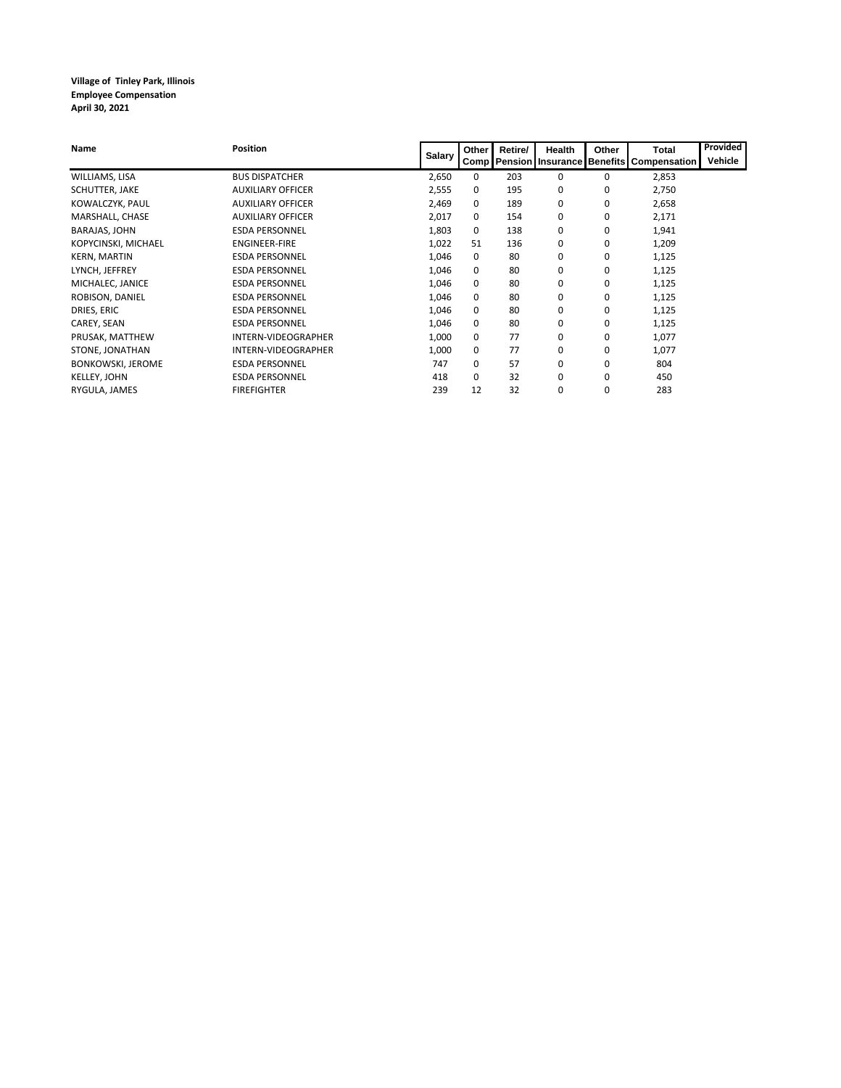| <b>Name</b>              | <b>Position</b>          | <b>Salary</b> | Other    | Retire/ | <b>Health</b> | Other    | <b>Total</b>                                         | Provided<br>Vehicle |
|--------------------------|--------------------------|---------------|----------|---------|---------------|----------|------------------------------------------------------|---------------------|
|                          |                          |               |          |         |               |          | Comp   Pension   Insurance   Benefits   Compensation |                     |
| WILLIAMS, LISA           | <b>BUS DISPATCHER</b>    | 2,650         | 0        | 203     | 0             | 0        | 2,853                                                |                     |
| SCHUTTER, JAKE           | <b>AUXILIARY OFFICER</b> | 2,555         | 0        | 195     | 0             | 0        | 2,750                                                |                     |
| KOWALCZYK, PAUL          | <b>AUXILIARY OFFICER</b> | 2,469         | 0        | 189     | 0             | 0        | 2,658                                                |                     |
| MARSHALL, CHASE          | <b>AUXILIARY OFFICER</b> | 2,017         | 0        | 154     | 0             | 0        | 2,171                                                |                     |
| <b>BARAJAS, JOHN</b>     | <b>ESDA PERSONNEL</b>    | 1,803         | 0        | 138     | 0             | 0        | 1,941                                                |                     |
| KOPYCINSKI, MICHAEL      | <b>ENGINEER-FIRE</b>     | 1,022         | 51       | 136     | 0             | 0        | 1,209                                                |                     |
| <b>KERN, MARTIN</b>      | <b>ESDA PERSONNEL</b>    | 1,046         | 0        | 80      | 0             | 0        | 1,125                                                |                     |
| LYNCH, JEFFREY           | <b>ESDA PERSONNEL</b>    | 1,046         | 0        | 80      | 0             | 0        | 1,125                                                |                     |
| MICHALEC, JANICE         | <b>ESDA PERSONNEL</b>    | 1,046         | 0        | 80      | 0             | 0        | 1,125                                                |                     |
| ROBISON, DANIEL          | <b>ESDA PERSONNEL</b>    | 1,046         | 0        | 80      | 0             | 0        | 1,125                                                |                     |
| DRIES, ERIC              | <b>ESDA PERSONNEL</b>    | 1,046         | 0        | 80      | 0             | 0        | 1,125                                                |                     |
| CAREY, SEAN              | <b>ESDA PERSONNEL</b>    | 1,046         | 0        | 80      | 0             | 0        | 1,125                                                |                     |
| PRUSAK, MATTHEW          | INTERN-VIDEOGRAPHER      | 1,000         | 0        | 77      | 0             | 0        | 1,077                                                |                     |
| STONE, JONATHAN          | INTERN-VIDEOGRAPHER      | 1,000         | 0        | 77      | 0             | 0        | 1,077                                                |                     |
| <b>BONKOWSKI, JEROME</b> | <b>ESDA PERSONNEL</b>    | 747           | 0        | 57      | 0             | 0        | 804                                                  |                     |
| <b>KELLEY, JOHN</b>      | <b>ESDA PERSONNEL</b>    | 418           | $\Omega$ | 32      | 0             | $\Omega$ | 450                                                  |                     |
| RYGULA, JAMES            | <b>FIREFIGHTER</b>       | 239           | 12       | 32      | 0             | 0        | 283                                                  |                     |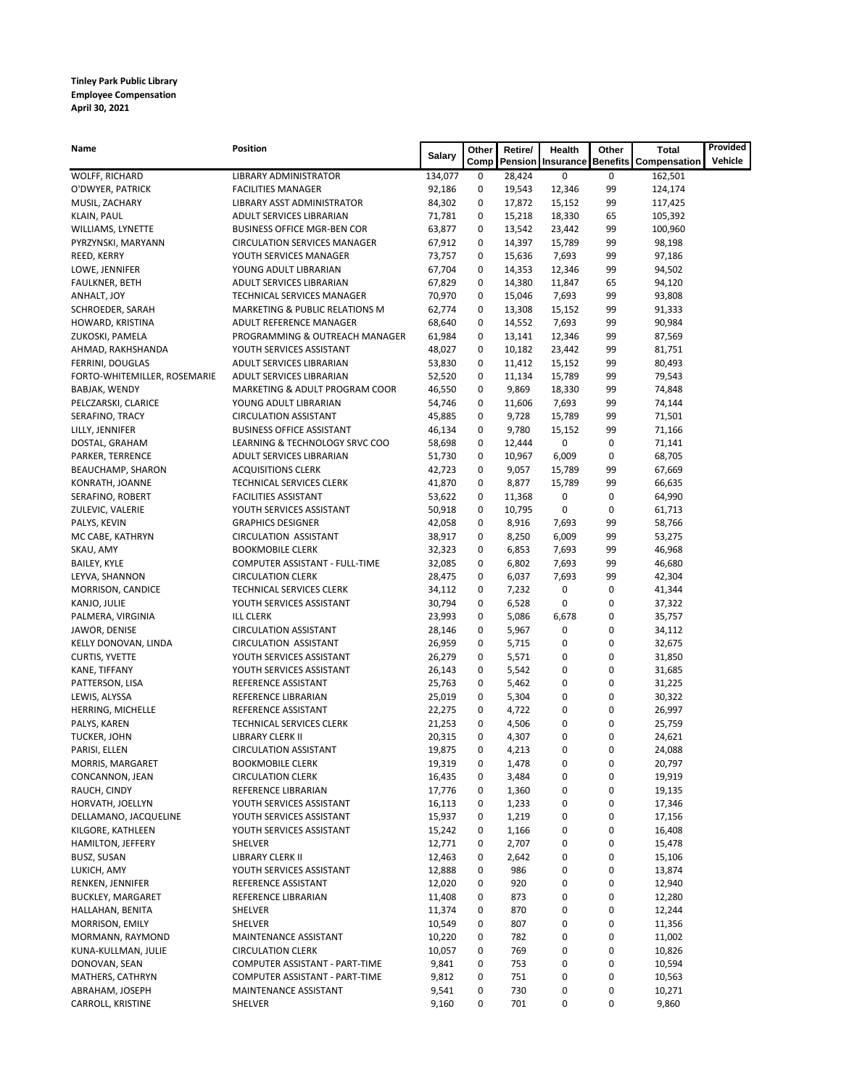### **Tinley Park Public Library Employee Compensation April 30, 2021**

| Name                                   | <b>Position</b>                                              | <b>Salary</b>    | Other       | Retire/        | <b>Health</b>       | Other    | <b>Total</b>                 | Provided |
|----------------------------------------|--------------------------------------------------------------|------------------|-------------|----------------|---------------------|----------|------------------------------|----------|
|                                        |                                                              |                  | <b>Comp</b> |                | Pension   Insurance |          | <b>Benefits Compensation</b> | Vehicle  |
| WOLFF, RICHARD                         | LIBRARY ADMINISTRATOR                                        | 134,077          | 0           | 28,424         | 0                   | 0        | 162,501                      |          |
| O'DWYER, PATRICK                       | <b>FACILITIES MANAGER</b>                                    | 92,186           | 0           | 19,543         | 12,346              | 99       | 124,174                      |          |
| MUSIL, ZACHARY                         | LIBRARY ASST ADMINISTRATOR                                   | 84,302           | 0           | 17,872         | 15,152              | 99       | 117,425                      |          |
| KLAIN, PAUL                            | ADULT SERVICES LIBRARIAN                                     | 71,781           | 0           | 15,218         | 18,330              | 65       | 105,392                      |          |
| WILLIAMS, LYNETTE                      | <b>BUSINESS OFFICE MGR-BEN COR</b>                           | 63,877           | 0           | 13,542         | 23,442              | 99       | 100,960                      |          |
| PYRZYNSKI, MARYANN                     | <b>CIRCULATION SERVICES MANAGER</b>                          | 67,912           | 0           | 14,397         | 15,789              | 99       | 98,198                       |          |
| REED, KERRY                            | YOUTH SERVICES MANAGER                                       | 73,757           | 0           | 15,636         | 7,693               | 99       | 97,186                       |          |
| LOWE, JENNIFER                         | YOUNG ADULT LIBRARIAN                                        | 67,704           | 0           | 14,353         | 12,346              | 99       | 94,502                       |          |
| FAULKNER, BETH                         | ADULT SERVICES LIBRARIAN                                     | 67,829           | 0           | 14,380         | 11,847              | 65       | 94,120                       |          |
| ANHALT, JOY                            | TECHNICAL SERVICES MANAGER                                   | 70,970           | 0           | 15,046         | 7,693               | 99       | 93,808                       |          |
| SCHROEDER, SARAH                       | MARKETING & PUBLIC RELATIONS M                               | 62,774           | 0           | 13,308         | 15,152              | 99       | 91,333                       |          |
| HOWARD, KRISTINA                       | ADULT REFERENCE MANAGER                                      | 68,640           | 0           | 14,552         | 7,693               | 99       | 90,984                       |          |
| ZUKOSKI, PAMELA                        | PROGRAMMING & OUTREACH MANAGER                               | 61,984           | 0           | 13,141         | 12,346              | 99       | 87,569                       |          |
| AHMAD, RAKHSHANDA                      | YOUTH SERVICES ASSISTANT                                     | 48,027           | 0           | 10,182         | 23,442              | 99       | 81,751                       |          |
| FERRINI, DOUGLAS                       | ADULT SERVICES LIBRARIAN                                     | 53,830           | 0           | 11,412         | 15,152              | 99       | 80,493                       |          |
| FORTO-WHITEMILLER, ROSEMARIE           | ADULT SERVICES LIBRARIAN                                     | 52,520           | 0           | 11,134         | 15,789              | 99       | 79,543                       |          |
| BABJAK, WENDY                          | MARKETING & ADULT PROGRAM COOR                               | 46,550           | 0           | 9,869          | 18,330              | 99       | 74,848                       |          |
| PELCZARSKI, CLARICE                    | YOUNG ADULT LIBRARIAN                                        | 54,746           | 0           | 11,606         | 7,693               | 99       | 74,144                       |          |
| SERAFINO, TRACY                        | <b>CIRCULATION ASSISTANT</b>                                 | 45,885           | 0           | 9,728          | 15,789              | 99       | 71,501                       |          |
| LILLY, JENNIFER                        | <b>BUSINESS OFFICE ASSISTANT</b>                             | 46,134           | 0           | 9,780          | 15,152              | 99       | 71,166                       |          |
| DOSTAL, GRAHAM                         | LEARNING & TECHNOLOGY SRVC COO                               | 58,698           | 0           | 12,444         | 0                   | 0        | 71,141                       |          |
| PARKER, TERRENCE                       | ADULT SERVICES LIBRARIAN                                     | 51,730           | 0           | 10,967         | 6,009               | 0        | 68,705                       |          |
| <b>BEAUCHAMP, SHARON</b>               | <b>ACQUISITIONS CLERK</b>                                    | 42,723           | 0           | 9,057          | 15,789              | 99       | 67,669                       |          |
| KONRATH, JOANNE                        | TECHNICAL SERVICES CLERK                                     | 41,870           | 0           | 8,877          | 15,789              | 99       | 66,635                       |          |
| SERAFINO, ROBERT                       | <b>FACILITIES ASSISTANT</b>                                  | 53,622           | 0           | 11,368         | 0                   | 0        | 64,990                       |          |
| ZULEVIC, VALERIE                       | YOUTH SERVICES ASSISTANT                                     | 50,918           | 0           | 10,795         | 0                   | 0        | 61,713                       |          |
| PALYS, KEVIN                           | <b>GRAPHICS DESIGNER</b>                                     | 42,058           | 0           | 8,916          | 7,693               | 99       | 58,766                       |          |
| MC CABE, KATHRYN                       | <b>CIRCULATION ASSISTANT</b>                                 | 38,917           | 0           | 8,250          | 6,009               | 99       | 53,275                       |          |
| SKAU, AMY                              | <b>BOOKMOBILE CLERK</b>                                      | 32,323           | 0           | 6,853          | 7,693               | 99       | 46,968                       |          |
| BAILEY, KYLE                           | COMPUTER ASSISTANT - FULL-TIME                               | 32,085           | 0           | 6,802          | 7,693               | 99       | 46,680                       |          |
| LEYVA, SHANNON                         | <b>CIRCULATION CLERK</b>                                     | 28,475           | 0           | 6,037          | 7,693               | 99       | 42,304                       |          |
| MORRISON, CANDICE                      | TECHNICAL SERVICES CLERK                                     | 34,112           | 0           | 7,232          | 0                   | 0        | 41,344                       |          |
| KANJO, JULIE                           | YOUTH SERVICES ASSISTANT                                     | 30,794           | 0           | 6,528          | 0                   | 0        | 37,322                       |          |
| PALMERA, VIRGINIA                      | <b>ILL CLERK</b>                                             | 23,993           | 0           | 5,086          | 6,678               | 0        | 35,757                       |          |
| JAWOR, DENISE                          | <b>CIRCULATION ASSISTANT</b><br><b>CIRCULATION ASSISTANT</b> | 28,146           | 0           | 5,967          | 0                   | 0        | 34,112                       |          |
| KELLY DONOVAN, LINDA                   |                                                              | 26,959           | 0           | 5,715          | 0                   | 0        | 32,675                       |          |
| <b>CURTIS, YVETTE</b><br>KANE, TIFFANY | YOUTH SERVICES ASSISTANT<br>YOUTH SERVICES ASSISTANT         | 26,279<br>26,143 | 0<br>0      | 5,571<br>5,542 | 0<br>0              | 0<br>0   | 31,850<br>31,685             |          |
| PATTERSON, LISA                        | REFERENCE ASSISTANT                                          | 25,763           | 0           | 5,462          |                     | 0        | 31,225                       |          |
| LEWIS, ALYSSA                          | REFERENCE LIBRARIAN                                          | 25,019           | 0           | 5,304          | 0<br>0              | 0        | 30,322                       |          |
| HERRING, MICHELLE                      | REFERENCE ASSISTANT                                          | 22,275           | 0           | 4,722          | 0                   | 0        | 26,997                       |          |
| PALYS, KAREN                           | TECHNICAL SERVICES CLERK                                     | 21,253           | 0           | 4,506          | 0                   | 0        | 25,759                       |          |
| TUCKER, JOHN                           | LIBRARY CLERK II                                             | 20,315           | 0           | 4,307          | 0                   | 0        | 24,621                       |          |
| PARISI, ELLEN                          | <b>CIRCULATION ASSISTANT</b>                                 | 19,875           | $\mathbf 0$ | 4,213          | 0                   | 0        | 24,088                       |          |
| MORRIS, MARGARET                       | <b>BOOKMOBILE CLERK</b>                                      | 19,319           | 0           | 1,478          | 0                   | 0        | 20,797                       |          |
| CONCANNON, JEAN                        | <b>CIRCULATION CLERK</b>                                     | 16,435           | 0           | 3,484          | 0                   | 0        | 19,919                       |          |
| RAUCH, CINDY                           | REFERENCE LIBRARIAN                                          | 17,776           | 0           | 1,360          | 0                   | 0        | 19,135                       |          |
| HORVATH, JOELLYN                       | YOUTH SERVICES ASSISTANT                                     | 16,113           | 0           | 1,233          | 0                   | 0        | 17,346                       |          |
| DELLAMANO, JACQUELINE                  | YOUTH SERVICES ASSISTANT                                     | 15,937           | 0           | 1,219          | 0                   | 0        | 17,156                       |          |
| KILGORE, KATHLEEN                      | YOUTH SERVICES ASSISTANT                                     | 15,242           | 0           | 1,166          | 0                   | 0        | 16,408                       |          |
| HAMILTON, JEFFERY                      | <b>SHELVER</b>                                               | 12,771           | 0           | 2,707          | 0                   | 0        | 15,478                       |          |
| <b>BUSZ, SUSAN</b>                     | LIBRARY CLERK II                                             | 12,463           | 0           | 2,642          | 0                   | 0        | 15,106                       |          |
| LUKICH, AMY                            | YOUTH SERVICES ASSISTANT                                     | 12,888           | 0           | 986            | 0                   | 0        | 13,874                       |          |
| RENKEN, JENNIFER                       | REFERENCE ASSISTANT                                          | 12,020           | 0           | 920            | 0                   | 0        | 12,940                       |          |
| <b>BUCKLEY, MARGARET</b>               | REFERENCE LIBRARIAN                                          | 11,408           | 0           | 873            | 0                   | 0        | 12,280                       |          |
| HALLAHAN, BENITA                       | <b>SHELVER</b>                                               | 11,374           | 0           | 870            | 0                   | 0        | 12,244                       |          |
| MORRISON, EMILY                        | <b>SHELVER</b>                                               | 10,549           | 0           | 807            | 0                   | 0        | 11,356                       |          |
| MORMANN, RAYMOND                       | MAINTENANCE ASSISTANT                                        | 10,220           | 0           | 782            | 0                   | 0        | 11,002                       |          |
| KUNA-KULLMAN, JULIE                    | <b>CIRCULATION CLERK</b>                                     | 10,057           | 0           | 769            | 0                   | 0        | 10,826                       |          |
| DONOVAN, SEAN                          | COMPUTER ASSISTANT - PART-TIME                               | 9,841            | $\mathbf 0$ | 753            | 0                   | 0        | 10,594                       |          |
| MATHERS, CATHRYN                       | COMPUTER ASSISTANT - PART-TIME                               | 9,812            | 0           | 751            | 0                   | $\Omega$ | 10,563                       |          |
| ABRAHAM, JOSEPH                        | MAINTENANCE ASSISTANT                                        | 9,541            | 0           | 730            | 0                   | 0        | 10,271                       |          |
| CARROLL, KRISTINE                      | SHELVER                                                      | 9,160            | 0           | 701            | $\pmb{0}$           | 0        | 9,860                        |          |